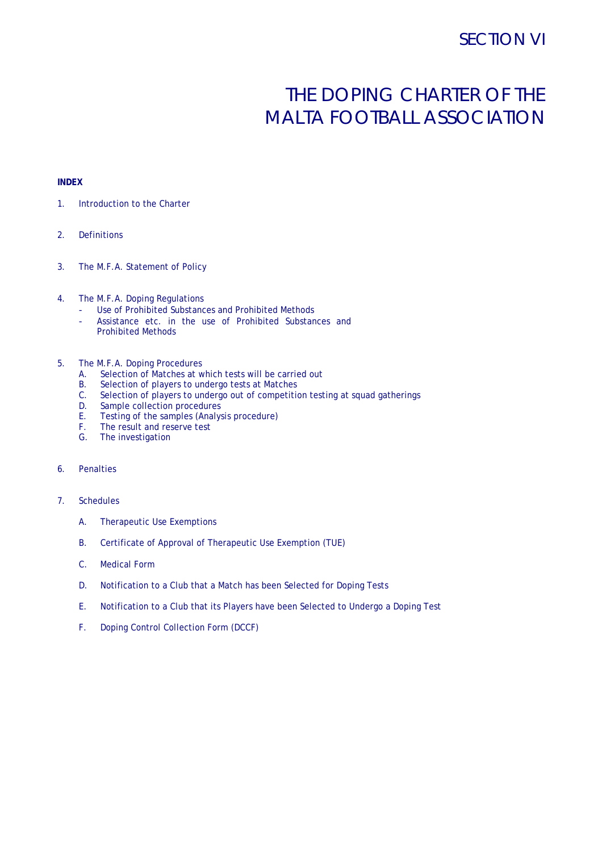# THE DOPING CHARTER OF THE MALTA FOOTBALL ASSOCIATION

## **INDEX**

- 1. Introduction to the Charter
- 2. Definitions
- 3. The M.F.A. Statement of Policy
- 4. The M.F.A. Doping Regulations
	- Use of Prohibited Substances and Prohibited Methods
	- Assistance etc. in the use of Prohibited Substances and Prohibited Methods

#### 5. The M.F.A. Doping Procedures

- A. Selection of Matches at which tests will be carried out B. Selection of players to undergo tests at Matches
- Selection of players to undergo tests at Matches
- C. Selection of players to undergo out of competition testing at squad gatherings
- D. Sample collection procedures
- E. Testing of the samples (Analysis procedure)
- F. The result and reserve test
- G. The investigation

## 6. Penalties

- 7. Schedules
	- A. Therapeutic Use Exemptions
	- B. Certificate of Approval of Therapeutic Use Exemption (TUE)
	- C. Medical Form
	- D. Notification to a Club that a Match has been Selected for Doping Tests
	- E. Notification to a Club that its Players have been Selected to Undergo a Doping Test
	- F. Doping Control Collection Form (DCCF)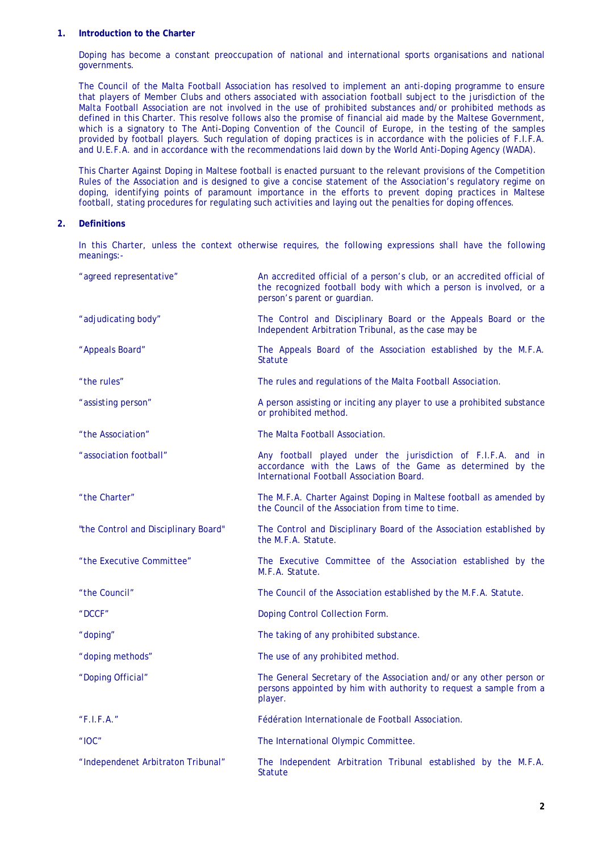#### **1. Introduction to the Charter**

Doping has become a constant preoccupation of national and international sports organisations and national governments.

The Council of the Malta Football Association has resolved to implement an anti-doping programme to ensure that players of Member Clubs and others associated with association football subject to the jurisdiction of the Malta Football Association are not involved in the use of prohibited substances and/or prohibited methods as defined in this Charter. This resolve follows also the promise of financial aid made by the Maltese Government, which is a signatory to The Anti-Doping Convention of the Council of Europe, in the testing of the samples provided by football players. Such regulation of doping practices is in accordance with the policies of F.I.F.A. and U.E.F.A. and in accordance with the recommendations laid down by the World Anti-Doping Agency (WADA).

This Charter Against Doping in Maltese football is enacted pursuant to the relevant provisions of the Competition Rules of the Association and is designed to give a concise statement of the Association's regulatory regime on doping, identifying points of paramount importance in the efforts to prevent doping practices in Maltese football, stating procedures for regulating such activities and laying out the penalties for doping offences.

#### **2. Definitions**

In this Charter, unless the context otherwise requires, the following expressions shall have the following meanings:-

| "agreed representative"              | An accredited official of a person's club, or an accredited official of<br>the recognized football body with which a person is involved, or a<br>person's parent or guardian. |
|--------------------------------------|-------------------------------------------------------------------------------------------------------------------------------------------------------------------------------|
| "adjudicating body"                  | The Control and Disciplinary Board or the Appeals Board or the<br>Independent Arbitration Tribunal, as the case may be                                                        |
| "Appeals Board"                      | The Appeals Board of the Association established by the M.F.A.<br><b>Statute</b>                                                                                              |
| "the rules"                          | The rules and regulations of the Malta Football Association.                                                                                                                  |
| "assisting person"                   | A person assisting or inciting any player to use a prohibited substance<br>or prohibited method.                                                                              |
| "the Association"                    | The Malta Football Association.                                                                                                                                               |
| "association football"               | Any football played under the jurisdiction of F.I.F.A. and in<br>accordance with the Laws of the Game as determined by the<br>International Football Association Board.       |
| "the Charter"                        | The M.F.A. Charter Against Doping in Maltese football as amended by<br>the Council of the Association from time to time.                                                      |
| "the Control and Disciplinary Board" | The Control and Disciplinary Board of the Association established by<br>the M.F.A. Statute.                                                                                   |
| "the Executive Committee"            | The Executive Committee of the Association established by the<br>M.F.A. Statute.                                                                                              |
| "the Council"                        | The Council of the Association established by the M.F.A. Statute.                                                                                                             |
| "DCCF"                               | Doping Control Collection Form.                                                                                                                                               |
| "doping"                             | The taking of any prohibited substance.                                                                                                                                       |
| "doping methods"                     | The use of any prohibited method.                                                                                                                                             |
| "Doping Official"                    | The General Secretary of the Association and/or any other person or<br>persons appointed by him with authority to request a sample from a<br>player.                          |
| "F.I.F.A."                           | Fédération Internationale de Football Association.                                                                                                                            |
| " $10C$ "                            | The International Olympic Committee.                                                                                                                                          |
| "Independenet Arbitraton Tribunal"   | The Independent Arbitration Tribunal established by the M.F.A.<br><b>Statute</b>                                                                                              |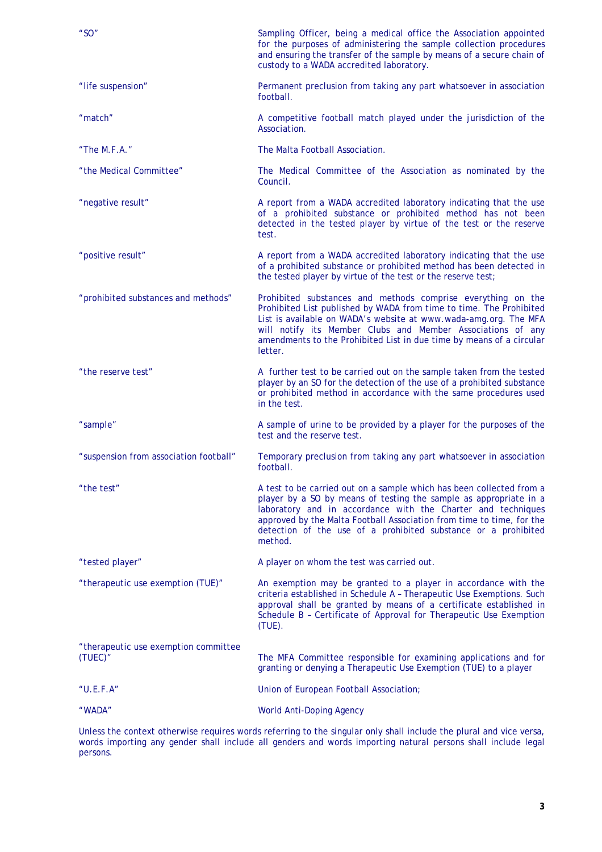| " $SO"$                                         | Sampling Officer, being a medical office the Association appointed<br>for the purposes of administering the sample collection procedures<br>and ensuring the transfer of the sample by means of a secure chain of<br>custody to a WADA accredited laboratory.                                                                                                   |
|-------------------------------------------------|-----------------------------------------------------------------------------------------------------------------------------------------------------------------------------------------------------------------------------------------------------------------------------------------------------------------------------------------------------------------|
| "life suspension"                               | Permanent preclusion from taking any part whatsoever in association<br>football.                                                                                                                                                                                                                                                                                |
| "match"                                         | A competitive football match played under the jurisdiction of the<br>Association.                                                                                                                                                                                                                                                                               |
| "The $M.F.A.$ "                                 | The Malta Football Association.                                                                                                                                                                                                                                                                                                                                 |
| "the Medical Committee"                         | The Medical Committee of the Association as nominated by the<br>Council.                                                                                                                                                                                                                                                                                        |
| "negative result"                               | A report from a WADA accredited laboratory indicating that the use<br>of a prohibited substance or prohibited method has not been<br>detected in the tested player by virtue of the test or the reserve<br>test.                                                                                                                                                |
| "positive result"                               | A report from a WADA accredited laboratory indicating that the use<br>of a prohibited substance or prohibited method has been detected in<br>the tested player by virtue of the test or the reserve test;                                                                                                                                                       |
| "prohibited substances and methods"             | Prohibited substances and methods comprise everything on the<br>Prohibited List published by WADA from time to time. The Prohibited<br>List is available on WADA's website at www.wada-amg.org. The MFA<br>will notify its Member Clubs and Member Associations of any<br>amendments to the Prohibited List in due time by means of a circular<br>letter.       |
| "the reserve test"                              | A further test to be carried out on the sample taken from the tested<br>player by an SO for the detection of the use of a prohibited substance<br>or prohibited method in accordance with the same procedures used<br>in the test.                                                                                                                              |
| "sample"                                        | A sample of urine to be provided by a player for the purposes of the<br>test and the reserve test.                                                                                                                                                                                                                                                              |
| "suspension from association football"          | Temporary preclusion from taking any part whatsoever in association<br>football.                                                                                                                                                                                                                                                                                |
| "the test"                                      | A test to be carried out on a sample which has been collected from a<br>player by a SO by means of testing the sample as appropriate in a<br>laboratory and in accordance with the Charter and techniques<br>approved by the Malta Football Association from time to time, for the<br>detection of the use of a prohibited substance or a prohibited<br>method. |
| "tested player"                                 | A player on whom the test was carried out.                                                                                                                                                                                                                                                                                                                      |
| "therapeutic use exemption (TUE)"               | An exemption may be granted to a player in accordance with the<br>criteria established in Schedule A - Therapeutic Use Exemptions. Such<br>approval shall be granted by means of a certificate established in<br>Schedule B - Certificate of Approval for Therapeutic Use Exemption<br>$(TUE)$ .                                                                |
| "therapeutic use exemption committee<br>(TUEC)" | The MFA Committee responsible for examining applications and for<br>granting or denying a Therapeutic Use Exemption (TUE) to a player                                                                                                                                                                                                                           |
| "U.E.F.A"                                       | Union of European Football Association;                                                                                                                                                                                                                                                                                                                         |
| "WADA"                                          | <b>World Anti-Doping Agency</b>                                                                                                                                                                                                                                                                                                                                 |

Unless the context otherwise requires words referring to the singular only shall include the plural and vice versa, words importing any gender shall include all genders and words importing natural persons shall include legal persons.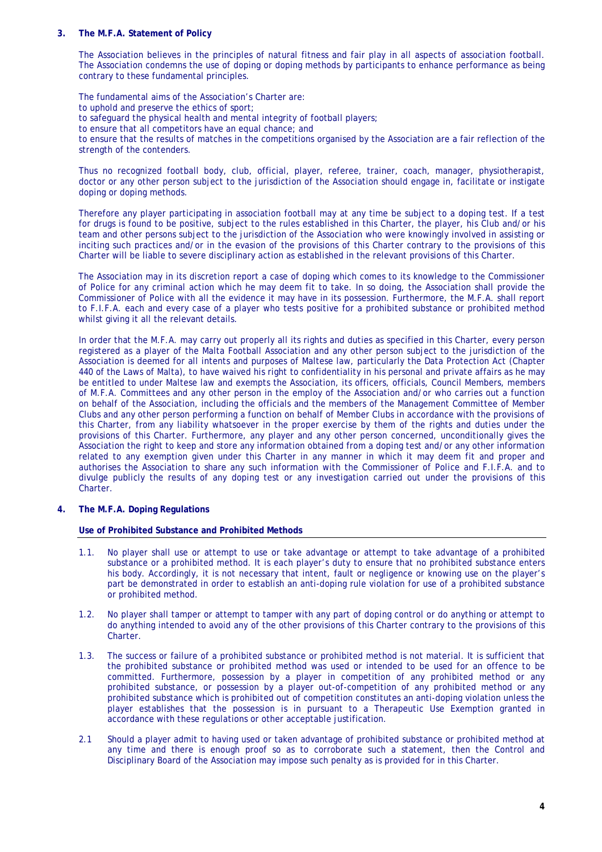#### **3. The M.F.A. Statement of Policy**

The Association believes in the principles of natural fitness and fair play in all aspects of association football. The Association condemns the use of doping or doping methods by participants to enhance performance as being contrary to these fundamental principles.

The fundamental aims of the Association's Charter are: to uphold and preserve the ethics of sport; to safeguard the physical health and mental integrity of football players; to ensure that all competitors have an equal chance; and to ensure that the results of matches in the competitions organised by the Association are a fair reflection of the strength of the contenders.

Thus no recognized football body, club, official, player, referee, trainer, coach, manager, physiotherapist, doctor or any other person subject to the jurisdiction of the Association should engage in, facilitate or instigate doping or doping methods.

Therefore any player participating in association football may at any time be subject to a doping test. If a test for drugs is found to be positive, subject to the rules established in this Charter, the player, his Club and/or his team and other persons subject to the jurisdiction of the Association who were knowingly involved in assisting or inciting such practices and/or in the evasion of the provisions of this Charter contrary to the provisions of this Charter will be liable to severe disciplinary action as established in the relevant provisions of this Charter.

The Association may in its discretion report a case of doping which comes to its knowledge to the Commissioner of Police for any criminal action which he may deem fit to take. In so doing, the Association shall provide the Commissioner of Police with all the evidence it may have in its possession. Furthermore, the M.F.A. shall report to F.I.F.A. each and every case of a player who tests positive for a prohibited substance or prohibited method whilst giving it all the relevant details.

In order that the M.F.A. may carry out properly all its rights and duties as specified in this Charter, every person registered as a player of the Malta Football Association and any other person subject to the jurisdiction of the Association is deemed for all intents and purposes of Maltese law, particularly the Data Protection Act (Chapter 440 of the Laws of Malta), to have waived his right to confidentiality in his personal and private affairs as he may be entitled to under Maltese law and exempts the Association, its officers, officials, Council Members, members of M.F.A. Committees and any other person in the employ of the Association and/or who carries out a function on behalf of the Association, including the officials and the members of the Management Committee of Member Clubs and any other person performing a function on behalf of Member Clubs in accordance with the provisions of this Charter, from any liability whatsoever in the proper exercise by them of the rights and duties under the provisions of this Charter. Furthermore, any player and any other person concerned, unconditionally gives the Association the right to keep and store any information obtained from a doping test and/or any other information related to any exemption given under this Charter in any manner in which it may deem fit and proper and authorises the Association to share any such information with the Commissioner of Police and F.I.F.A. and to divulge publicly the results of any doping test or any investigation carried out under the provisions of this Charter.

**4. The M.F.A. Doping Regulations** 

#### **Use of Prohibited Substance and Prohibited Methods**

- 1.1. No player shall use or attempt to use or take advantage or attempt to take advantage of a prohibited substance or a prohibited method. It is each player's duty to ensure that no prohibited substance enters his body. Accordingly, it is not necessary that intent, fault or negligence or knowing use on the player's part be demonstrated in order to establish an anti-doping rule violation for use of a prohibited substance or prohibited method.
- 1.2. No player shall tamper or attempt to tamper with any part of doping control or do anything or attempt to do anything intended to avoid any of the other provisions of this Charter contrary to the provisions of this Charter.
- 1.3. The success or failure of a prohibited substance or prohibited method is not material. It is sufficient that the prohibited substance or prohibited method was used or intended to be used for an offence to be committed. Furthermore, possession by a player in competition of any prohibited method or any prohibited substance, or possession by a player out-of-competition of any prohibited method or any prohibited substance which is prohibited out of competition constitutes an anti-doping violation unless the player establishes that the possession is in pursuant to a Therapeutic Use Exemption granted in accordance with these regulations or other acceptable justification.
- 2.1 Should a player admit to having used or taken advantage of prohibited substance or prohibited method at any time and there is enough proof so as to corroborate such a statement, then the Control and Disciplinary Board of the Association may impose such penalty as is provided for in this Charter.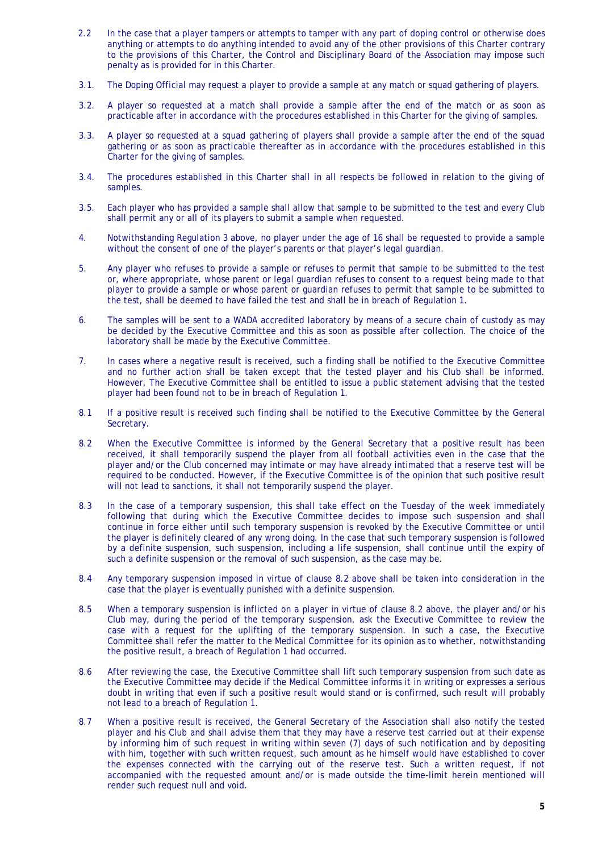- 2.2 In the case that a player tampers or attempts to tamper with any part of doping control or otherwise does anything or attempts to do anything intended to avoid any of the other provisions of this Charter contrary to the provisions of this Charter, the Control and Disciplinary Board of the Association may impose such penalty as is provided for in this Charter.
- 3.1. The Doping Official may request a player to provide a sample at any match or squad gathering of players.
- 3.2. A player so requested at a match shall provide a sample after the end of the match or as soon as practicable after in accordance with the procedures established in this Charter for the giving of samples.
- 3.3. A player so requested at a squad gathering of players shall provide a sample after the end of the squad gathering or as soon as practicable thereafter as in accordance with the procedures established in this Charter for the giving of samples.
- 3.4. The procedures established in this Charter shall in all respects be followed in relation to the giving of samples.
- 3.5. Each player who has provided a sample shall allow that sample to be submitted to the test and every Club shall permit any or all of its players to submit a sample when requested.
- 4. Notwithstanding Regulation 3 above, no player under the age of 16 shall be requested to provide a sample without the consent of one of the player's parents or that player's legal guardian.
- 5. Any player who refuses to provide a sample or refuses to permit that sample to be submitted to the test or, where appropriate, whose parent or legal guardian refuses to consent to a request being made to that player to provide a sample or whose parent or guardian refuses to permit that sample to be submitted to the test, shall be deemed to have failed the test and shall be in breach of Regulation 1.
- 6. The samples will be sent to a WADA accredited laboratory by means of a secure chain of custody as may be decided by the Executive Committee and this as soon as possible after collection. The choice of the laboratory shall be made by the Executive Committee.
- 7. In cases where a negative result is received, such a finding shall be notified to the Executive Committee and no further action shall be taken except that the tested player and his Club shall be informed. However, The Executive Committee shall be entitled to issue a public statement advising that the tested player had been found not to be in breach of Regulation 1.
- 8.1 If a positive result is received such finding shall be notified to the Executive Committee by the General Secretary.
- 8.2 When the Executive Committee is informed by the General Secretary that a positive result has been received, it shall temporarily suspend the player from all football activities even in the case that the player and/or the Club concerned may intimate or may have already intimated that a reserve test will be required to be conducted. However, if the Executive Committee is of the opinion that such positive result will not lead to sanctions, it shall not temporarily suspend the player.
- 8.3 In the case of a temporary suspension, this shall take effect on the Tuesday of the week immediately following that during which the Executive Committee decides to impose such suspension and shall continue in force either until such temporary suspension is revoked by the Executive Committee or until the player is definitely cleared of any wrong doing. In the case that such temporary suspension is followed by a definite suspension, such suspension, including a life suspension, shall continue until the expiry of such a definite suspension or the removal of such suspension, as the case may be.
- 8.4 Any temporary suspension imposed in virtue of clause 8.2 above shall be taken into consideration in the case that the player is eventually punished with a definite suspension.
- 8.5 When a temporary suspension is inflicted on a player in virtue of clause 8.2 above, the player and/or his Club may, during the period of the temporary suspension, ask the Executive Committee to review the case with a request for the uplifting of the temporary suspension. In such a case, the Executive Committee shall refer the matter to the Medical Committee for its opinion as to whether, notwithstanding the positive result, a breach of Regulation 1 had occurred.
- 8.6 After reviewing the case, the Executive Committee shall lift such temporary suspension from such date as the Executive Committee may decide if the Medical Committee informs it in writing or expresses a serious doubt in writing that even if such a positive result would stand or is confirmed, such result will probably not lead to a breach of Regulation 1.
- 8.7 When a positive result is received, the General Secretary of the Association shall also notify the tested player and his Club and shall advise them that they may have a reserve test carried out at their expense by informing him of such request in writing within seven (7) days of such notification and by depositing with him, together with such written request, such amount as he himself would have established to cover the expenses connected with the carrying out of the reserve test. Such a written request, if not accompanied with the requested amount and/or is made outside the time-limit herein mentioned will render such request null and void.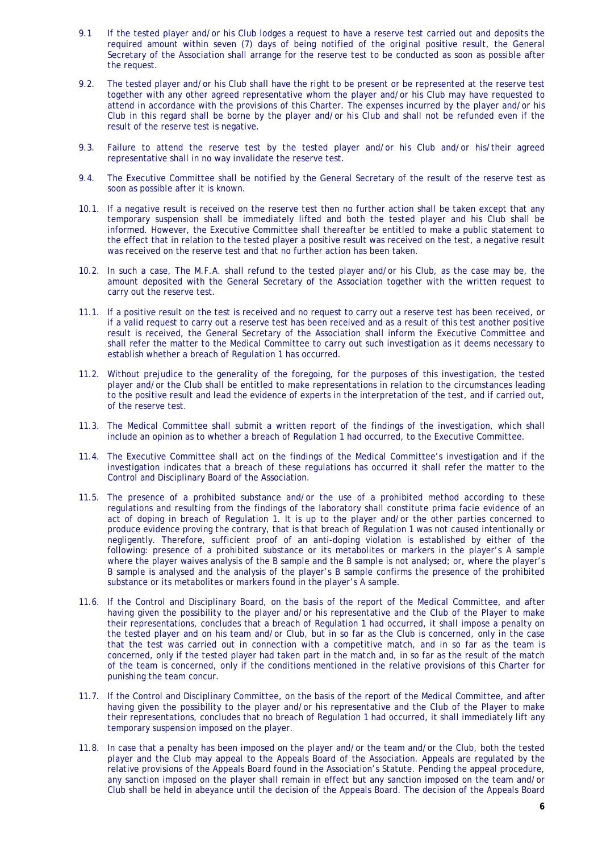- 9.1 If the tested player and/or his Club lodges a request to have a reserve test carried out and deposits the required amount within seven (7) days of being notified of the original positive result, the General Secretary of the Association shall arrange for the reserve test to be conducted as soon as possible after the request.
- 9.2. The tested player and/or his Club shall have the right to be present or be represented at the reserve test together with any other agreed representative whom the player and/or his Club may have requested to attend in accordance with the provisions of this Charter. The expenses incurred by the player and/or his Club in this regard shall be borne by the player and/or his Club and shall not be refunded even if the result of the reserve test is negative.
- 9.3. Failure to attend the reserve test by the tested player and/or his Club and/or his/their agreed representative shall in no way invalidate the reserve test.
- 9.4. The Executive Committee shall be notified by the General Secretary of the result of the reserve test as soon as possible after it is known.
- 10.1. If a negative result is received on the reserve test then no further action shall be taken except that any temporary suspension shall be immediately lifted and both the tested player and his Club shall be informed. However, the Executive Committee shall thereafter be entitled to make a public statement to the effect that in relation to the tested player a positive result was received on the test, a negative result was received on the reserve test and that no further action has been taken.
- 10.2. In such a case, The M.F.A. shall refund to the tested player and/or his Club, as the case may be, the amount deposited with the General Secretary of the Association together with the written request to carry out the reserve test.
- 11.1. If a positive result on the test is received and no request to carry out a reserve test has been received, or if a valid request to carry out a reserve test has been received and as a result of this test another positive result is received, the General Secretary of the Association shall inform the Executive Committee and shall refer the matter to the Medical Committee to carry out such investigation as it deems necessary to establish whether a breach of Regulation 1 has occurred.
- 11.2. Without prejudice to the generality of the foregoing, for the purposes of this investigation, the tested player and/or the Club shall be entitled to make representations in relation to the circumstances leading to the positive result and lead the evidence of experts in the interpretation of the test, and if carried out, of the reserve test.
- 11.3. The Medical Committee shall submit a written report of the findings of the investigation, which shall include an opinion as to whether a breach of Regulation 1 had occurred, to the Executive Committee.
- 11.4. The Executive Committee shall act on the findings of the Medical Committee's investigation and if the investigation indicates that a breach of these regulations has occurred it shall refer the matter to the Control and Disciplinary Board of the Association.
- 11.5. The presence of a prohibited substance and/or the use of a prohibited method according to these regulations and resulting from the findings of the laboratory shall constitute prima facie evidence of an act of doping in breach of Regulation 1. It is up to the player and/or the other parties concerned to produce evidence proving the contrary, that is that breach of Regulation 1 was not caused intentionally or negligently. Therefore, sufficient proof of an anti-doping violation is established by either of the following: presence of a prohibited substance or its metabolites or markers in the player's A sample where the player waives analysis of the B sample and the B sample is not analysed; or, where the player's B sample is analysed and the analysis of the player's B sample confirms the presence of the prohibited substance or its metabolites or markers found in the player's A sample.
- 11.6. If the Control and Disciplinary Board, on the basis of the report of the Medical Committee, and after having given the possibility to the player and/or his representative and the Club of the Player to make their representations, concludes that a breach of Regulation 1 had occurred, it shall impose a penalty on the tested player and on his team and/or Club, but in so far as the Club is concerned, only in the case that the test was carried out in connection with a competitive match, and in so far as the team is concerned, only if the tested player had taken part in the match and, in so far as the result of the match of the team is concerned, only if the conditions mentioned in the relative provisions of this Charter for punishing the team concur.
- 11.7. If the Control and Disciplinary Committee, on the basis of the report of the Medical Committee, and after having given the possibility to the player and/or his representative and the Club of the Player to make their representations, concludes that no breach of Regulation 1 had occurred, it shall immediately lift any temporary suspension imposed on the player.
- 11.8. In case that a penalty has been imposed on the player and/or the team and/or the Club, both the tested player and the Club may appeal to the Appeals Board of the Association. Appeals are regulated by the relative provisions of the Appeals Board found in the Association's Statute. Pending the appeal procedure, any sanction imposed on the player shall remain in effect but any sanction imposed on the team and/or Club shall be held in abeyance until the decision of the Appeals Board. The decision of the Appeals Board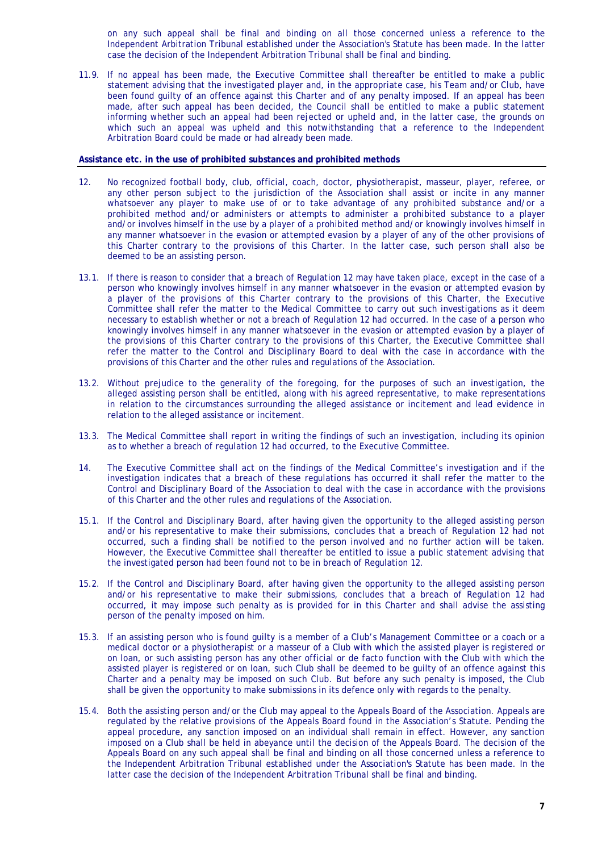on any such appeal shall be final and binding on all those concerned unless a reference to the Independent Arbitration Tribunal established under the Association's Statute has been made. In the latter case the decision of the Independent Arbitration Tribunal shall be final and binding.

11.9. If no appeal has been made, the Executive Committee shall thereafter be entitled to make a public statement advising that the investigated player and, in the appropriate case, his Team and/or Club, have been found guilty of an offence against this Charter and of any penalty imposed. If an appeal has been made, after such appeal has been decided, the Council shall be entitled to make a public statement informing whether such an appeal had been rejected or upheld and, in the latter case, the grounds on which such an appeal was upheld and this notwithstanding that a reference to the Independent Arbitration Board could be made or had already been made.

#### **Assistance etc. in the use of prohibited substances and prohibited methods**

- 12. No recognized football body, club, official, coach, doctor, physiotherapist, masseur, player, referee, or any other person subject to the jurisdiction of the Association shall assist or incite in any manner whatsoever any player to make use of or to take advantage of any prohibited substance and/or a prohibited method and/or administers or attempts to administer a prohibited substance to a player and/or involves himself in the use by a player of a prohibited method and/or knowingly involves himself in any manner whatsoever in the evasion or attempted evasion by a player of any of the other provisions of this Charter contrary to the provisions of this Charter. In the latter case, such person shall also be deemed to be an assisting person.
- 13.1. If there is reason to consider that a breach of Regulation 12 may have taken place, except in the case of a person who knowingly involves himself in any manner whatsoever in the evasion or attempted evasion by a player of the provisions of this Charter contrary to the provisions of this Charter, the Executive Committee shall refer the matter to the Medical Committee to carry out such investigations as it deem necessary to establish whether or not a breach of Regulation 12 had occurred. In the case of a person who knowingly involves himself in any manner whatsoever in the evasion or attempted evasion by a player of the provisions of this Charter contrary to the provisions of this Charter, the Executive Committee shall refer the matter to the Control and Disciplinary Board to deal with the case in accordance with the provisions of this Charter and the other rules and regulations of the Association.
- 13.2. Without prejudice to the generality of the foregoing, for the purposes of such an investigation, the alleged assisting person shall be entitled, along with his agreed representative, to make representations in relation to the circumstances surrounding the alleged assistance or incitement and lead evidence in relation to the alleged assistance or incitement.
- 13.3. The Medical Committee shall report in writing the findings of such an investigation, including its opinion as to whether a breach of regulation 12 had occurred, to the Executive Committee.
- 14. The Executive Committee shall act on the findings of the Medical Committee's investigation and if the investigation indicates that a breach of these regulations has occurred it shall refer the matter to the Control and Disciplinary Board of the Association to deal with the case in accordance with the provisions of this Charter and the other rules and regulations of the Association.
- 15.1. If the Control and Disciplinary Board, after having given the opportunity to the alleged assisting person and/or his representative to make their submissions, concludes that a breach of Regulation 12 had not occurred, such a finding shall be notified to the person involved and no further action will be taken. However, the Executive Committee shall thereafter be entitled to issue a public statement advising that the investigated person had been found not to be in breach of Regulation 12.
- 15.2. If the Control and Disciplinary Board, after having given the opportunity to the alleged assisting person and/or his representative to make their submissions, concludes that a breach of Regulation 12 had occurred, it may impose such penalty as is provided for in this Charter and shall advise the assisting person of the penalty imposed on him.
- 15.3. If an assisting person who is found guilty is a member of a Club's Management Committee or a coach or a medical doctor or a physiotherapist or a masseur of a Club with which the assisted player is registered or on loan, or such assisting person has any other official or *de facto* function with the Club with which the assisted player is registered or on loan, such Club shall be deemed to be guilty of an offence against this Charter and a penalty may be imposed on such Club. But before any such penalty is imposed, the Club shall be given the opportunity to make submissions in its defence only with regards to the penalty.
- 15.4. Both the assisting person and/or the Club may appeal to the Appeals Board of the Association. Appeals are regulated by the relative provisions of the Appeals Board found in the Association's Statute. Pending the appeal procedure, any sanction imposed on an individual shall remain in effect. However, any sanction imposed on a Club shall be held in abeyance until the decision of the Appeals Board. The decision of the Appeals Board on any such appeal shall be final and binding on all those concerned unless a reference to the Independent Arbitration Tribunal established under the Association's Statute has been made. In the latter case the decision of the Independent Arbitration Tribunal shall be final and binding.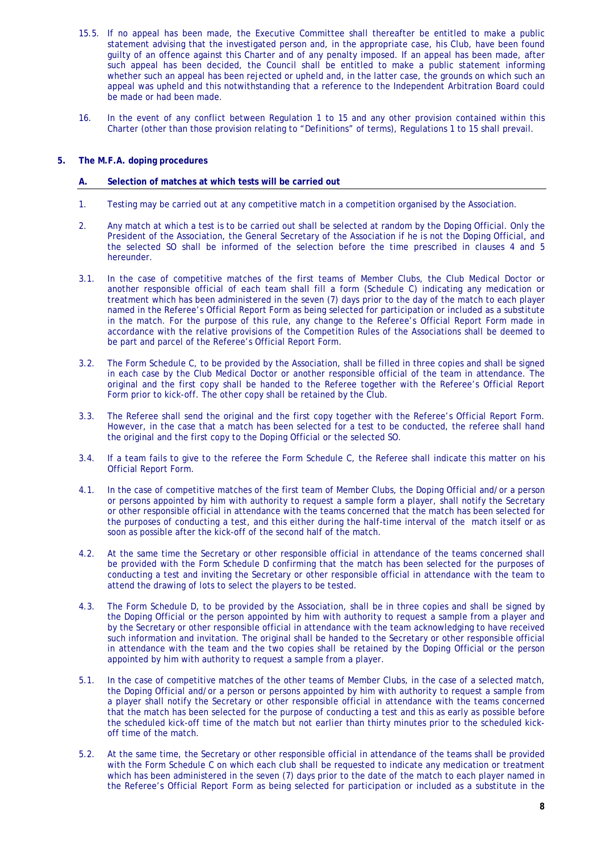- 15.5. If no appeal has been made, the Executive Committee shall thereafter be entitled to make a public statement advising that the investigated person and, in the appropriate case, his Club, have been found guilty of an offence against this Charter and of any penalty imposed. If an appeal has been made, after such appeal has been decided, the Council shall be entitled to make a public statement informing whether such an appeal has been rejected or upheld and, in the latter case, the grounds on which such an appeal was upheld and this notwithstanding that a reference to the Independent Arbitration Board could be made or had been made.
- 16. In the event of any conflict between Regulation 1 to 15 and any other provision contained within this Charter (other than those provision relating to "Definitions" of terms), Regulations 1 to 15 shall prevail.

#### **5. The M.F.A. doping procedures**

#### **A. Selection of matches at which tests will be carried out**

- 1. Testing may be carried out at any competitive match in a competition organised by the Association.
- 2. Any match at which a test is to be carried out shall be selected at random by the Doping Official. Only the President of the Association, the General Secretary of the Association if he is not the Doping Official, and the selected SO shall be informed of the selection before the time prescribed in clauses 4 and 5 hereunder.
- 3.1. In the case of competitive matches of the first teams of Member Clubs, the Club Medical Doctor or another responsible official of each team shall fill a form (Schedule C) indicating any medication or treatment which has been administered in the seven (7) days prior to the day of the match to each player named in the Referee's Official Report Form as being selected for participation or included as a substitute in the match. For the purpose of this rule, any change to the Referee's Official Report Form made in accordance with the relative provisions of the Competition Rules of the Associations shall be deemed to be part and parcel of the Referee's Official Report Form.
- 3.2. The Form Schedule C, to be provided by the Association, shall be filled in three copies and shall be signed in each case by the Club Medical Doctor or another responsible official of the team in attendance. The original and the first copy shall be handed to the Referee together with the Referee's Official Report Form prior to kick-off. The other copy shall be retained by the Club.
- 3.3. The Referee shall send the original and the first copy together with the Referee's Official Report Form. However, in the case that a match has been selected for a test to be conducted, the referee shall hand the original and the first copy to the Doping Official or the selected SO.
- 3.4. If a team fails to give to the referee the Form Schedule C, the Referee shall indicate this matter on his Official Report Form.
- 4.1. In the case of competitive matches of the first team of Member Clubs, the Doping Official and/or a person or persons appointed by him with authority to request a sample form a player, shall notify the Secretary or other responsible official in attendance with the teams concerned that the match has been selected for the purposes of conducting a test, and this either during the half-time interval of the match itself or as soon as possible after the kick-off of the second half of the match.
- 4.2. At the same time the Secretary or other responsible official in attendance of the teams concerned shall be provided with the Form Schedule D confirming that the match has been selected for the purposes of conducting a test and inviting the Secretary or other responsible official in attendance with the team to attend the drawing of lots to select the players to be tested.
- 4.3. The Form Schedule D, to be provided by the Association, shall be in three copies and shall be signed by the Doping Official or the person appointed by him with authority to request a sample from a player and by the Secretary or other responsible official in attendance with the team acknowledging to have received such information and invitation. The original shall be handed to the Secretary or other responsible official in attendance with the team and the two copies shall be retained by the Doping Official or the person appointed by him with authority to request a sample from a player.
- 5.1. In the case of competitive matches of the other teams of Member Clubs, in the case of a selected match, the Doping Official and/or a person or persons appointed by him with authority to request a sample from a player shall notify the Secretary or other responsible official in attendance with the teams concerned that the match has been selected for the purpose of conducting a test and this as early as possible before the scheduled kick-off time of the match but not earlier than thirty minutes prior to the scheduled kickoff time of the match.
- 5.2. At the same time, the Secretary or other responsible official in attendance of the teams shall be provided with the Form Schedule C on which each club shall be requested to indicate any medication or treatment which has been administered in the seven (7) days prior to the date of the match to each player named in the Referee's Official Report Form as being selected for participation or included as a substitute in the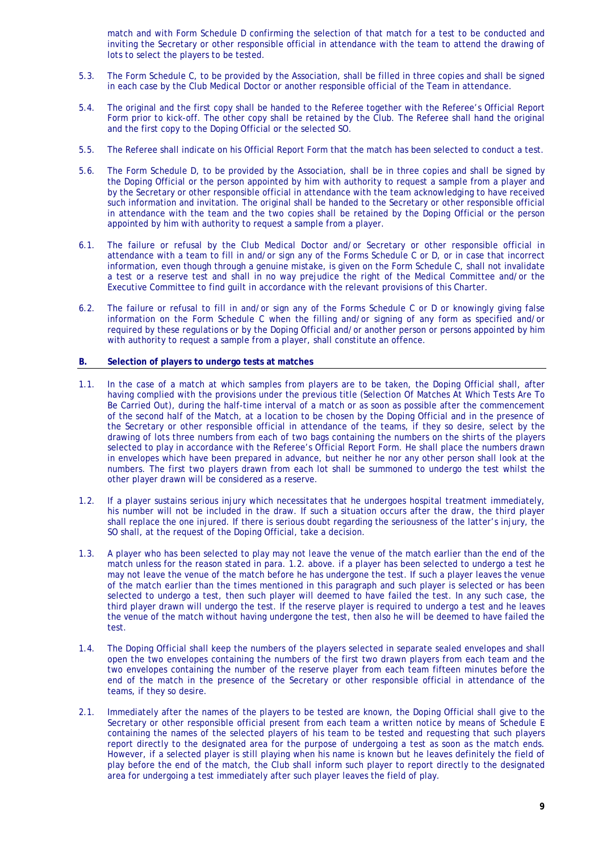match and with Form Schedule D confirming the selection of that match for a test to be conducted and inviting the Secretary or other responsible official in attendance with the team to attend the drawing of lots to select the players to be tested.

- 5.3. The Form Schedule C, to be provided by the Association, shall be filled in three copies and shall be signed in each case by the Club Medical Doctor or another responsible official of the Team in attendance.
- 5.4. The original and the first copy shall be handed to the Referee together with the Referee's Official Report Form prior to kick-off. The other copy shall be retained by the Club. The Referee shall hand the original and the first copy to the Doping Official or the selected SO.
- 5.5. The Referee shall indicate on his Official Report Form that the match has been selected to conduct a test.
- 5.6. The Form Schedule D, to be provided by the Association, shall be in three copies and shall be signed by the Doping Official or the person appointed by him with authority to request a sample from a player and by the Secretary or other responsible official in attendance with the team acknowledging to have received such information and invitation. The original shall be handed to the Secretary or other responsible official in attendance with the team and the two copies shall be retained by the Doping Official or the person appointed by him with authority to request a sample from a player.
- 6.1. The failure or refusal by the Club Medical Doctor and/or Secretary or other responsible official in attendance with a team to fill in and/or sign any of the Forms Schedule C or D, or in case that incorrect information, even though through a genuine mistake, is given on the Form Schedule C, shall not invalidate a test or a reserve test and shall in no way prejudice the right of the Medical Committee and/or the Executive Committee to find guilt in accordance with the relevant provisions of this Charter.
- 6.2. The failure or refusal to fill in and/or sign any of the Forms Schedule C or D or knowingly giving false information on the Form Schedule C when the filling and/or signing of any form as specified and/or required by these regulations or by the Doping Official and/or another person or persons appointed by him with authority to request a sample from a player, shall constitute an offence.

#### **B. Selection of players to undergo tests at matches**

- 1.1. In the case of a match at which samples from players are to be taken, the Doping Official shall, after having complied with the provisions under the previous title (Selection Of Matches At Which Tests Are To Be Carried Out), during the half-time interval of a match or as soon as possible after the commencement of the second half of the Match, at a location to be chosen by the Doping Official and in the presence of the Secretary or other responsible official in attendance of the teams, if they so desire, select by the drawing of lots three numbers from each of two bags containing the numbers on the shirts of the players selected to play in accordance with the Referee's Official Report Form. He shall place the numbers drawn in envelopes which have been prepared in advance, but neither he nor any other person shall look at the numbers. The first two players drawn from each lot shall be summoned to undergo the test whilst the other player drawn will be considered as a reserve.
- 1.2. If a player sustains serious injury which necessitates that he undergoes hospital treatment immediately, his number will not be included in the draw. If such a situation occurs after the draw, the third player shall replace the one injured. If there is serious doubt regarding the seriousness of the latter's injury, the SO shall, at the request of the Doping Official, take a decision.
- 1.3. A player who has been selected to play may not leave the venue of the match earlier than the end of the match unless for the reason stated in para. 1.2. above. if a player has been selected to undergo a test he may not leave the venue of the match before he has undergone the test. If such a player leaves the venue of the match earlier than the times mentioned in this paragraph and such player is selected or has been selected to undergo a test, then such player will deemed to have failed the test. In any such case, the third player drawn will undergo the test. If the reserve player is required to undergo a test and he leaves the venue of the match without having undergone the test, then also he will be deemed to have failed the test.
- 1.4. The Doping Official shall keep the numbers of the players selected in separate sealed envelopes and shall open the two envelopes containing the numbers of the first two drawn players from each team and the two envelopes containing the number of the reserve player from each team fifteen minutes before the end of the match in the presence of the Secretary or other responsible official in attendance of the teams, if they so desire.
- 2.1. Immediately after the names of the players to be tested are known, the Doping Official shall give to the Secretary or other responsible official present from each team a written notice by means of Schedule E containing the names of the selected players of his team to be tested and requesting that such players report directly to the designated area for the purpose of undergoing a test as soon as the match ends. However, if a selected player is still playing when his name is known but he leaves definitely the field of play before the end of the match, the Club shall inform such player to report directly to the designated area for undergoing a test immediately after such player leaves the field of play.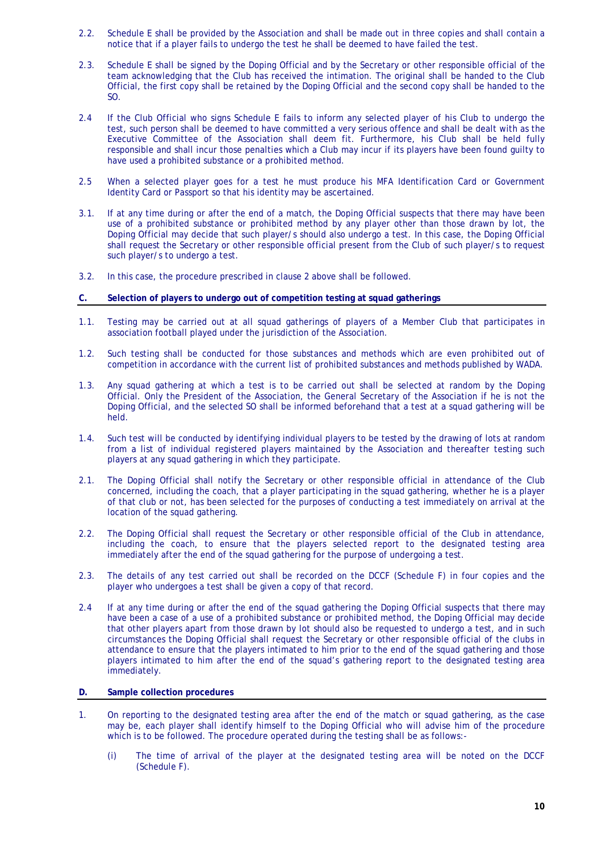- 2.2. Schedule E shall be provided by the Association and shall be made out in three copies and shall contain a notice that if a player fails to undergo the test he shall be deemed to have failed the test.
- 2.3. Schedule E shall be signed by the Doping Official and by the Secretary or other responsible official of the team acknowledging that the Club has received the intimation. The original shall be handed to the Club Official, the first copy shall be retained by the Doping Official and the second copy shall be handed to the SO.
- 2.4 If the Club Official who signs Schedule E fails to inform any selected player of his Club to undergo the test, such person shall be deemed to have committed a very serious offence and shall be dealt with as the Executive Committee of the Association shall deem fit. Furthermore, his Club shall be held fully responsible and shall incur those penalties which a Club may incur if its players have been found guilty to have used a prohibited substance or a prohibited method.
- 2.5 When a selected player goes for a test he must produce his MFA Identification Card or Government Identity Card or Passport so that his identity may be ascertained.
- 3.1. If at any time during or after the end of a match, the Doping Official suspects that there may have been use of a prohibited substance or prohibited method by any player other than those drawn by lot, the Doping Official may decide that such player/s should also undergo a test. In this case, the Doping Official shall request the Secretary or other responsible official present from the Club of such player/s to request such player/s to undergo a test.
- 3.2. In this case, the procedure prescribed in clause 2 above shall be followed.
- **C. Selection of players to undergo out of competition testing at squad gatherings**
- 1.1. Testing may be carried out at all squad gatherings of players of a Member Club that participates in association football played under the jurisdiction of the Association.
- 1.2. Such testing shall be conducted for those substances and methods which are even prohibited out of competition in accordance with the current list of prohibited substances and methods published by WADA.
- 1.3. Any squad gathering at which a test is to be carried out shall be selected at random by the Doping Official. Only the President of the Association, the General Secretary of the Association if he is not the Doping Official, and the selected SO shall be informed beforehand that a test at a squad gathering will be held.
- 1.4. Such test will be conducted by identifying individual players to be tested by the drawing of lots at random from a list of individual registered players maintained by the Association and thereafter testing such players at any squad gathering in which they participate.
- 2.1. The Doping Official shall notify the Secretary or other responsible official in attendance of the Club concerned, including the coach, that a player participating in the squad gathering, whether he is a player of that club or not, has been selected for the purposes of conducting a test immediately on arrival at the location of the squad gathering.
- 2.2. The Doping Official shall request the Secretary or other responsible official of the Club in attendance, including the coach, to ensure that the players selected report to the designated testing area immediately after the end of the squad gathering for the purpose of undergoing a test.
- 2.3. The details of any test carried out shall be recorded on the DCCF (Schedule F) in four copies and the player who undergoes a test shall be given a copy of that record.
- 2.4 If at any time during or after the end of the squad gathering the Doping Official suspects that there may have been a case of a use of a prohibited substance or prohibited method, the Doping Official may decide that other players apart from those drawn by lot should also be requested to undergo a test, and in such circumstances the Doping Official shall request the Secretary or other responsible official of the clubs in attendance to ensure that the players intimated to him prior to the end of the squad gathering and those players intimated to him after the end of the squad's gathering report to the designated testing area immediately.

#### **D. Sample collection procedures**

- 1. On reporting to the designated testing area after the end of the match or squad gathering, as the case may be, each player shall identify himself to the Doping Official who will advise him of the procedure which is to be followed. The procedure operated during the testing shall be as follows:-
	- (i) The time of arrival of the player at the designated testing area will be noted on the DCCF (Schedule F).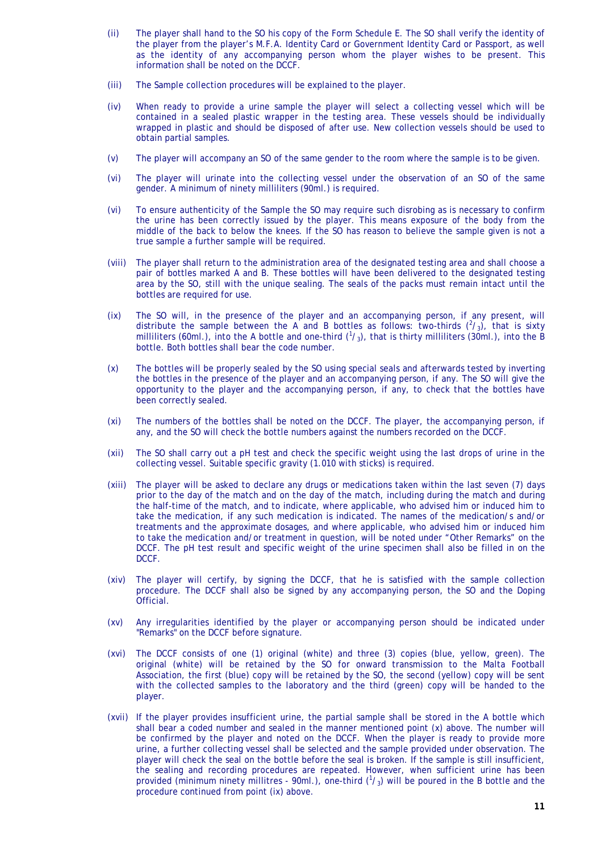- (ii) The player shall hand to the SO his copy of the Form Schedule E. The SO shall verify the identity of the player from the player's M.F.A. Identity Card or Government Identity Card or Passport, as well as the identity of any accompanying person whom the player wishes to be present. This information shall be noted on the DCCF.
- (iii) The Sample collection procedures will be explained to the player.
- (iv) When ready to provide a urine sample the player will select a collecting vessel which will be contained in a sealed plastic wrapper in the testing area. These vessels should be individually wrapped in plastic and should be disposed of after use. New collection vessels should be used to obtain partial samples.
- (v) The player will accompany an SO of the same gender to the room where the sample is to be given.
- (vi) The player will urinate into the collecting vessel under the observation of an SO of the same gender. A minimum of ninety milliliters (90ml.) is required.
- (vi) To ensure authenticity of the Sample the SO may require such disrobing as is necessary to confirm the urine has been correctly issued by the player. This means exposure of the body from the middle of the back to below the knees. If the SO has reason to believe the sample given is not a true sample a further sample will be required.
- (viii) The player shall return to the administration area of the designated testing area and shall choose a pair of bottles marked A and B. These bottles will have been delivered to the designated testing area by the SO, still with the unique sealing. The seals of the packs must remain intact until the bottles are required for use.
- (ix) The SO will, in the presence of the player and an accompanying person, if any present, will distribute the sample between the A and B bottles as follows: two-thirds  $(^2/3)$ , that is sixty milliliters (60ml.), into the A bottle and one-third  $(^1\prime_3)$ , that is thirty milliliters (30ml.), into the B bottle. Both bottles shall bear the code number.
- (x) The bottles will be properly sealed by the SO using special seals and afterwards tested by inverting the bottles in the presence of the player and an accompanying person, if any. The SO will give the opportunity to the player and the accompanying person, if any, to check that the bottles have been correctly sealed.
- (xi) The numbers of the bottles shall be noted on the DCCF. The player, the accompanying person, if any, and the SO will check the bottle numbers against the numbers recorded on the DCCF.
- (xii) The SO shall carry out a pH test and check the specific weight using the last drops of urine in the collecting vessel. Suitable specific gravity (1.010 with sticks) is required.
- (xiii) The player will be asked to declare any drugs or medications taken within the last seven (7) days prior to the day of the match and on the day of the match, including during the match and during the half-time of the match, and to indicate, where applicable, who advised him or induced him to take the medication, if any such medication is indicated. The names of the medication/s and/or treatments and the approximate dosages, and where applicable, who advised him or induced him to take the medication and/or treatment in question, will be noted under "Other Remarks" on the DCCF. The pH test result and specific weight of the urine specimen shall also be filled in on the DCCF.
- (xiv) The player will certify, by signing the DCCF, that he is satisfied with the sample collection procedure. The DCCF shall also be signed by any accompanying person, the SO and the Doping Official.
- (xv) Any irregularities identified by the player or accompanying person should be indicated under "Remarks" on the DCCF before signature.
- (xvi) The DCCF consists of one (1) original (white) and three (3) copies (blue, yellow, green). The original (white) will be retained by the SO for onward transmission to the Malta Football Association, the first (blue) copy will be retained by the SO, the second (yellow) copy will be sent with the collected samples to the laboratory and the third (green) copy will be handed to the player.
- (xvii) If the player provides insufficient urine, the partial sample shall be stored in the A bottle which shall bear a coded number and sealed in the manner mentioned point (x) above. The number will be confirmed by the player and noted on the DCCF. When the player is ready to provide more urine, a further collecting vessel shall be selected and the sample provided under observation. The player will check the seal on the bottle before the seal is broken. If the sample is still insufficient, the sealing and recording procedures are repeated. However, when sufficient urine has been provided (minimum ninety millitres - 90ml.), one-third  $(^1/3)$  will be poured in the B bottle and the procedure continued from point (ix) above.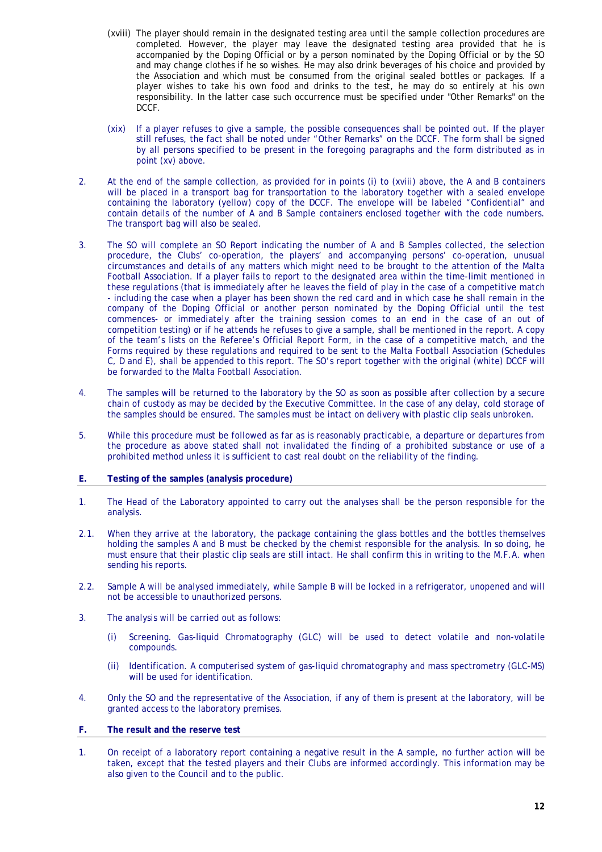- (xviii) The player should remain in the designated testing area until the sample collection procedures are completed. However, the player may leave the designated testing area provided that he is accompanied by the Doping Official or by a person nominated by the Doping Official or by the SO and may change clothes if he so wishes. He may also drink beverages of his choice and provided by the Association and which must be consumed from the original sealed bottles or packages. If a player wishes to take his own food and drinks to the test, he may do so entirely at his own responsibility. In the latter case such occurrence must be specified under "Other Remarks" on the DCCF.
- (xix) If a player refuses to give a sample, the possible consequences shall be pointed out. If the player still refuses, the fact shall be noted under "Other Remarks" on the DCCF. The form shall be signed by all persons specified to be present in the foregoing paragraphs and the form distributed as in point (xv) above.
- 2. At the end of the sample collection, as provided for in points (i) to (xviii) above, the A and B containers will be placed in a transport bag for transportation to the laboratory together with a sealed envelope containing the laboratory (yellow) copy of the DCCF. The envelope will be labeled "Confidential" and contain details of the number of A and B Sample containers enclosed together with the code numbers. The transport bag will also be sealed.
- 3. The SO will complete an SO Report indicating the number of A and B Samples collected, the selection procedure, the Clubs' co-operation, the players' and accompanying persons' co-operation, unusual circumstances and details of any matters which might need to be brought to the attention of the Malta Football Association. If a player fails to report to the designated area within the time-limit mentioned in these regulations (that is immediately after he leaves the field of play in the case of a competitive match - including the case when a player has been shown the red card and in which case he shall remain in the company of the Doping Official or another person nominated by the Doping Official until the test commences- or immediately after the training session comes to an end in the case of an out of competition testing) or if he attends he refuses to give a sample, shall be mentioned in the report. A copy of the team's lists on the Referee's Official Report Form, in the case of a competitive match, and the Forms required by these regulations and required to be sent to the Malta Football Association (Schedules C, D and E), shall be appended to this report. The SO's report together with the original (white) DCCF will be forwarded to the Malta Football Association.
- 4. The samples will be returned to the laboratory by the SO as soon as possible after collection by a secure chain of custody as may be decided by the Executive Committee. In the case of any delay, cold storage of the samples should be ensured. The samples must be intact on delivery with plastic clip seals unbroken.
- 5. While this procedure must be followed as far as is reasonably practicable, a departure or departures from the procedure as above stated shall not invalidated the finding of a prohibited substance or use of a prohibited method unless it is sufficient to cast real doubt on the reliability of the finding.

#### **E. Testing of the samples (analysis procedure)**

- 1. The Head of the Laboratory appointed to carry out the analyses shall be the person responsible for the analysis.
- 2.1. When they arrive at the laboratory, the package containing the glass bottles and the bottles themselves holding the samples A and B must be checked by the chemist responsible for the analysis. In so doing, he must ensure that their plastic clip seals are still intact. He shall confirm this in writing to the M.F.A. when sending his reports.
- 2.2. Sample A will be analysed immediately, while Sample B will be locked in a refrigerator, unopened and will not be accessible to unauthorized persons.
- 3. The analysis will be carried out as follows:
	- (i) Screening. Gas-liquid Chromatography (GLC) will be used to detect volatile and non-volatile compounds.
	- (ii) Identification. A computerised system of gas-liquid chromatography and mass spectrometry (GLC-MS) will be used for identification.
- 4. Only the SO and the representative of the Association, if any of them is present at the laboratory, will be granted access to the laboratory premises.

#### **F. The result and the reserve test**

1. On receipt of a laboratory report containing a negative result in the A sample, no further action will be taken, except that the tested players and their Clubs are informed accordingly. This information may be also given to the Council and to the public.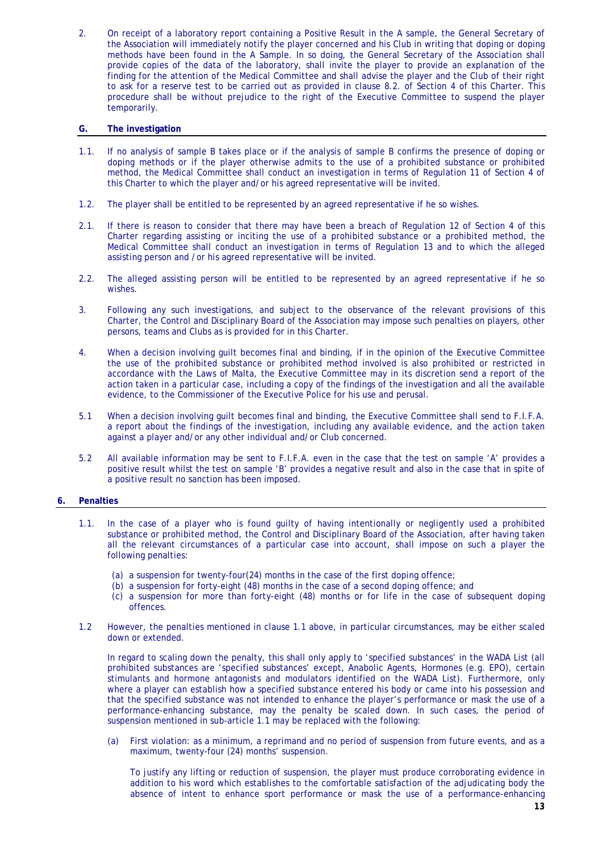2. On receipt of a laboratory report containing a Positive Result in the A sample, the General Secretary of the Association will immediately notify the player concerned and his Club in writing that doping or doping methods have been found in the A Sample. In so doing, the General Secretary of the Association shall provide copies of the data of the laboratory, shall invite the player to provide an explanation of the finding for the attention of the Medical Committee and shall advise the player and the Club of their right to ask for a reserve test to be carried out as provided in clause 8.2. of Section 4 of this Charter. This procedure shall be without prejudice to the right of the Executive Committee to suspend the player temporarily.

#### **G. The investigation**

- 1.1. If no analysis of sample B takes place or if the analysis of sample B confirms the presence of doping or doping methods or if the player otherwise admits to the use of a prohibited substance or prohibited method, the Medical Committee shall conduct an investigation in terms of Regulation 11 of Section 4 of this Charter to which the player and/or his agreed representative will be invited.
- 1.2. The player shall be entitled to be represented by an agreed representative if he so wishes.
- 2.1. If there is reason to consider that there may have been a breach of Regulation 12 of Section 4 of this Charter regarding assisting or inciting the use of a prohibited substance or a prohibited method, the Medical Committee shall conduct an investigation in terms of Regulation 13 and to which the alleged assisting person and /or his agreed representative will be invited.
- 2.2. The alleged assisting person will be entitled to be represented by an agreed representative if he so wishes.
- 3. Following any such investigations, and subject to the observance of the relevant provisions of this Charter, the Control and Disciplinary Board of the Association may impose such penalties on players, other persons, teams and Clubs as is provided for in this Charter.
- 4. When a decision involving guilt becomes final and binding, if in the opinion of the Executive Committee the use of the prohibited substance or prohibited method involved is also prohibited or restricted in accordance with the Laws of Malta, the Executive Committee may in its discretion send a report of the action taken in a particular case, including a copy of the findings of the investigation and all the available evidence, to the Commissioner of the Executive Police for his use and perusal.
- 5.1 When a decision involving guilt becomes final and binding, the Executive Committee shall send to F.I.F.A. a report about the findings of the investigation, including any available evidence, and the action taken against a player and/or any other individual and/or Club concerned.
- 5.2 All available information may be sent to F.I.F.A. even in the case that the test on sample 'A' provides a positive result whilst the test on sample 'B' provides a negative result and also in the case that in spite of a positive result no sanction has been imposed.

#### **6. Penalties**

- 1.1. In the case of a player who is found guilty of having intentionally or negligently used a prohibited substance or prohibited method, the Control and Disciplinary Board of the Association, after having taken all the relevant circumstances of a particular case into account, shall impose on such a player the following penalties:
	- (a) a suspension for twenty-four(24) months in the case of the first doping offence;
	- (b) a suspension for forty-eight (48) months in the case of a second doping offence; and
	- (c) a suspension for more than forty-eight (48) months or for life in the case of subsequent doping offences.
- 1.2 However, the penalties mentioned in clause 1.1 above, in particular circumstances, may be either scaled down or extended.

In regard to scaling down the penalty, this shall only apply to 'specified substances' in the WADA List (all prohibited substances are 'specified substances' except, Anabolic Agents, Hormones (e.g. EPO), certain stimulants and hormone antagonists and modulators identified on the WADA List). Furthermore, only where a player can establish how a specified substance entered his body or came into his possession and that the specified substance was not intended to enhance the player's performance or mask the use of a performance-enhancing substance, may the penalty be scaled down. In such cases, the period of suspension mentioned in sub-article 1.1 may be replaced with the following:

(a) First violation: as a minimum, a reprimand and no period of suspension from future events, and as a maximum, twenty-four (24) months' suspension.

To justify any lifting or reduction of suspension, the player must produce corroborating evidence in addition to his word which establishes to the comfortable satisfaction of the adjudicating body the absence of intent to enhance sport performance or mask the use of a performance-enhancing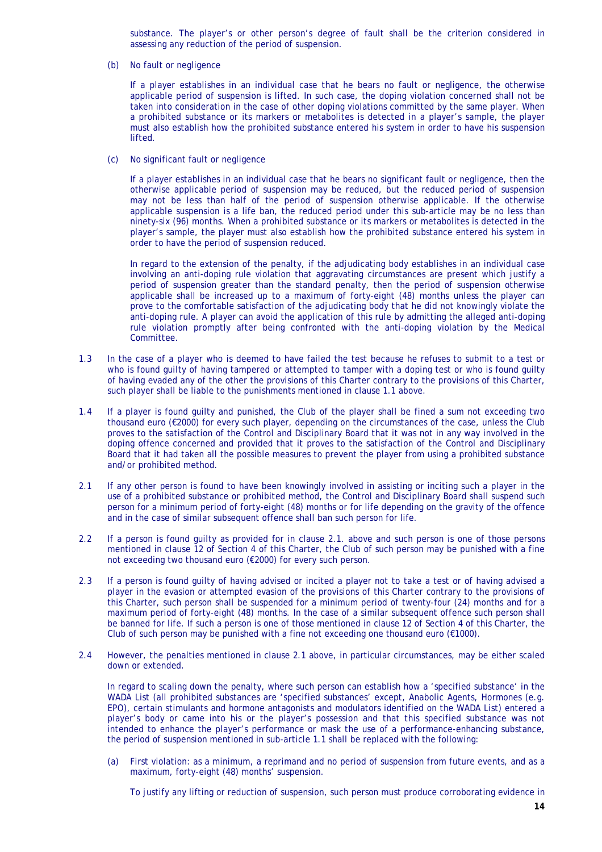substance. The player's or other person's degree of fault shall be the criterion considered in assessing any reduction of the period of suspension.

(b) No fault or negligence

If a player establishes in an individual case that he bears no fault or negligence, the otherwise applicable period of suspension is lifted. In such case, the doping violation concerned shall not be taken into consideration in the case of other doping violations committed by the same player. When a prohibited substance or its markers or metabolites is detected in a player's sample, the player must also establish how the prohibited substance entered his system in order to have his suspension lifted.

(c) No significant fault or negligence

If a player establishes in an individual case that he bears no significant fault or negligence, then the otherwise applicable period of suspension may be reduced, but the reduced period of suspension may not be less than half of the period of suspension otherwise applicable. If the otherwise applicable suspension is a life ban, the reduced period under this sub-article may be no less than ninety-six (96) months. When a prohibited substance or its markers or metabolites is detected in the player's sample, the player must also establish how the prohibited substance entered his system in order to have the period of suspension reduced.

In regard to the extension of the penalty, if the adjudicating body establishes in an individual case involving an anti-doping rule violation that aggravating circumstances are present which justify a period of suspension greater than the standard penalty, then the period of suspension otherwise applicable shall be increased up to a maximum of forty-eight (48) months unless the player can prove to the comfortable satisfaction of the adjudicating body that he did not knowingly violate the anti-doping rule. A player can avoid the application of this rule by admitting the alleged anti-doping rule violation promptly after being confronted with the anti-doping violation by the Medical Committee.

- 1.3 In the case of a player who is deemed to have failed the test because he refuses to submit to a test or who is found guilty of having tampered or attempted to tamper with a doping test or who is found guilty of having evaded any of the other the provisions of this Charter contrary to the provisions of this Charter, such player shall be liable to the punishments mentioned in clause 1.1 above.
- 1.4 If a player is found guilty and punished, the Club of the player shall be fined a sum not exceeding two thousand euro (€2000) for every such player, depending on the circumstances of the case, unless the Club proves to the satisfaction of the Control and Disciplinary Board that it was not in any way involved in the doping offence concerned and provided that it proves to the satisfaction of the Control and Disciplinary Board that it had taken all the possible measures to prevent the player from using a prohibited substance and/or prohibited method.
- 2.1 If any other person is found to have been knowingly involved in assisting or inciting such a player in the use of a prohibited substance or prohibited method, the Control and Disciplinary Board shall suspend such person for a minimum period of forty-eight (48) months or for life depending on the gravity of the offence and in the case of similar subsequent offence shall ban such person for life.
- 2.2 If a person is found guilty as provided for in clause 2.1. above and such person is one of those persons mentioned in clause 12 of Section 4 of this Charter, the Club of such person may be punished with a fine not exceeding two thousand euro (€2000) for every such person.
- 2.3 If a person is found guilty of having advised or incited a player not to take a test or of having advised a player in the evasion or attempted evasion of the provisions of this Charter contrary to the provisions of this Charter, such person shall be suspended for a minimum period of twenty-four (24) months and for a maximum period of forty-eight (48) months. In the case of a similar subsequent offence such person shall be banned for life. If such a person is one of those mentioned in clause 12 of Section 4 of this Charter, the Club of such person may be punished with a fine not exceeding one thousand euro ( $E1000$ ).
- 2.4 However, the penalties mentioned in clause 2.1 above, in particular circumstances, may be either scaled down or extended.

 In regard to scaling down the penalty, where such person can establish how a 'specified substance' in the WADA List (all prohibited substances are 'specified substances' except, Anabolic Agents, Hormones (e.g. EPO), certain stimulants and hormone antagonists and modulators identified on the WADA List) entered a player's body or came into his or the player's possession and that this specified substance was not intended to enhance the player's performance or mask the use of a performance-enhancing substance, the period of suspension mentioned in sub-article 1.1 shall be replaced with the following:

 (a) First violation: as a minimum, a reprimand and no period of suspension from future events, and as a maximum, forty-eight (48) months' suspension.

To justify any lifting or reduction of suspension, such person must produce corroborating evidence in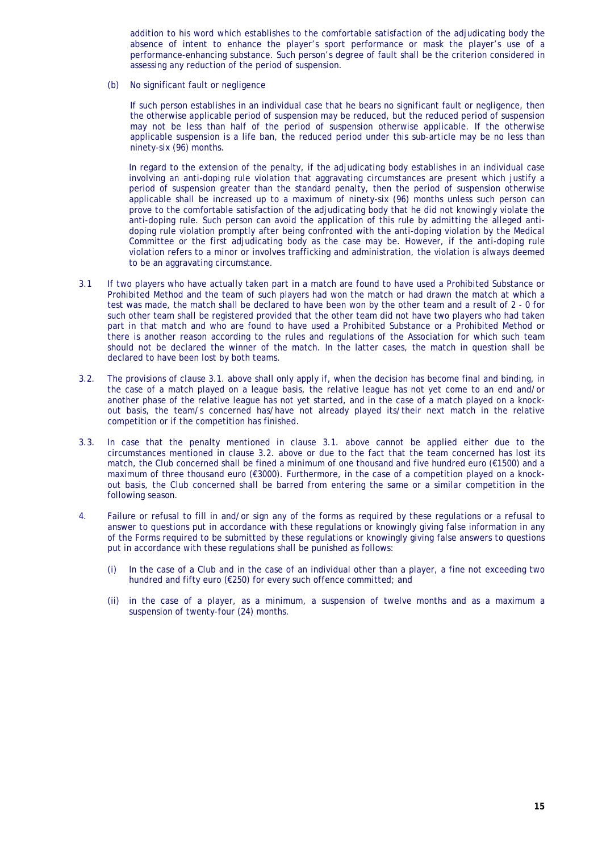addition to his word which establishes to the comfortable satisfaction of the adjudicating body the absence of intent to enhance the player's sport performance or mask the player's use of a performance-enhancing substance. Such person's degree of fault shall be the criterion considered in assessing any reduction of the period of suspension.

(b) No significant fault or negligence

If such person establishes in an individual case that he bears no significant fault or negligence, then the otherwise applicable period of suspension may be reduced, but the reduced period of suspension may not be less than half of the period of suspension otherwise applicable. If the otherwise applicable suspension is a life ban, the reduced period under this sub-article may be no less than ninety-six (96) months.

In regard to the extension of the penalty, if the adjudicating body establishes in an individual case involving an anti-doping rule violation that aggravating circumstances are present which justify a period of suspension greater than the standard penalty, then the period of suspension otherwise applicable shall be increased up to a maximum of ninety-six (96) months unless such person can prove to the comfortable satisfaction of the adjudicating body that he did not knowingly violate the anti-doping rule. Such person can avoid the application of this rule by admitting the alleged antidoping rule violation promptly after being confronted with the anti-doping violation by the Medical Committee or the first adjudicating body as the case may be. However, if the anti-doping rule violation refers to a minor or involves trafficking and administration, the violation is always deemed to be an aggravating circumstance.

- 3.1 If two players who have actually taken part in a match are found to have used a Prohibited Substance or Prohibited Method and the team of such players had won the match or had drawn the match at which a test was made, the match shall be declared to have been won by the other team and a result of 2 - 0 for such other team shall be registered provided that the other team did not have two players who had taken part in that match and who are found to have used a Prohibited Substance or a Prohibited Method or there is another reason according to the rules and regulations of the Association for which such team should not be declared the winner of the match. In the latter cases, the match in question shall be declared to have been lost by both teams.
- 3.2. The provisions of clause 3.1. above shall only apply if, when the decision has become final and binding, in the case of a match played on a league basis, the relative league has not yet come to an end and/or another phase of the relative league has not yet started, and in the case of a match played on a knockout basis, the team/s concerned has/have not already played its/their next match in the relative competition or if the competition has finished.
- 3.3. In case that the penalty mentioned in clause 3.1. above cannot be applied either due to the circumstances mentioned in clause 3.2. above or due to the fact that the team concerned has lost its match, the Club concerned shall be fined a minimum of one thousand and five hundred euro (€1500) and a maximum of three thousand euro (€3000). Furthermore, in the case of a competition played on a knockout basis, the Club concerned shall be barred from entering the same or a similar competition in the following season.
- 4. Failure or refusal to fill in and/or sign any of the forms as required by these regulations or a refusal to answer to questions put in accordance with these regulations or knowingly giving false information in any of the Forms required to be submitted by these regulations or knowingly giving false answers to questions put in accordance with these regulations shall be punished as follows:
	- (i) In the case of a Club and in the case of an individual other than a player, a fine not exceeding two hundred and fifty euro (€250) for every such offence committed; and
	- (ii) in the case of a player, as a minimum, a suspension of twelve months and as a maximum a suspension of twenty-four (24) months.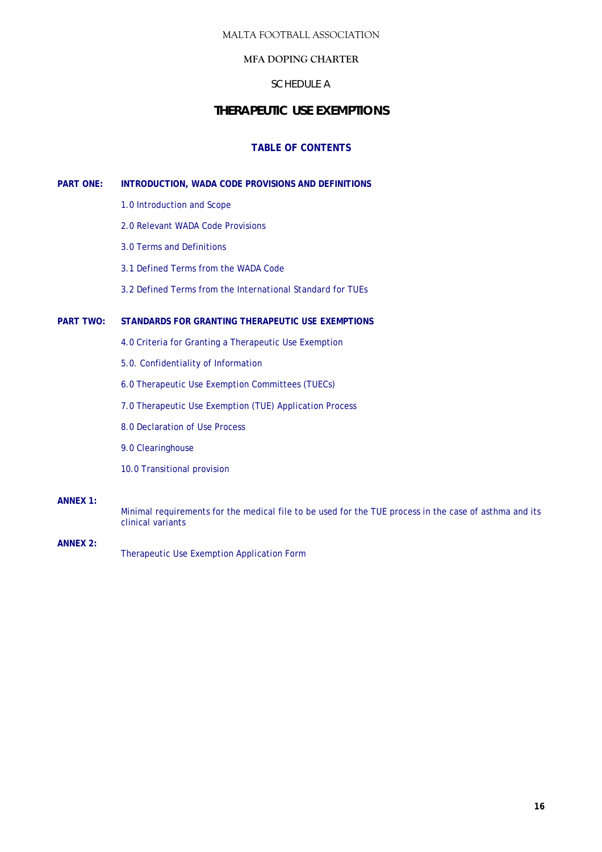## **MFA DOPING CHARTER**

## SCHEDULE A

## **THERAPEUTIC USE EXEMPTIONS**

## **TABLE OF CONTENTS**

## **PART ONE: INTRODUCTION, WADA CODE PROVISIONS AND DEFINITIONS**

- 1.0 Introduction and Scope
- 2.0 Relevant WADA Code Provisions
- 3.0 Terms and Definitions
- 3.1 Defined Terms from the WADA Code
- 3.2 Defined Terms from the *International Standard* for TUEs

## **PART TWO: STANDARDS FOR GRANTING THERAPEUTIC** *USE* **EXEMPTIONS**

- 4.0 Criteria for Granting a Therapeutic *Use* Exemption
- 5.0. Confidentiality of Information
- 6.0 Therapeutic Use Exemption Committees (TUECs)
- 7.0 Therapeutic Use Exemption (TUE) Application Process
- 8.0 Declaration of Use Process
- 9.0 Clearinghouse
- 10.0 Transitional provision

#### **ANNEX 1:**

Minimal requirements for the medical file to be used for the TUE process in the case of asthma and its clinical variants

**ANNEX 2:**  Therapeutic Use Exemption Application Form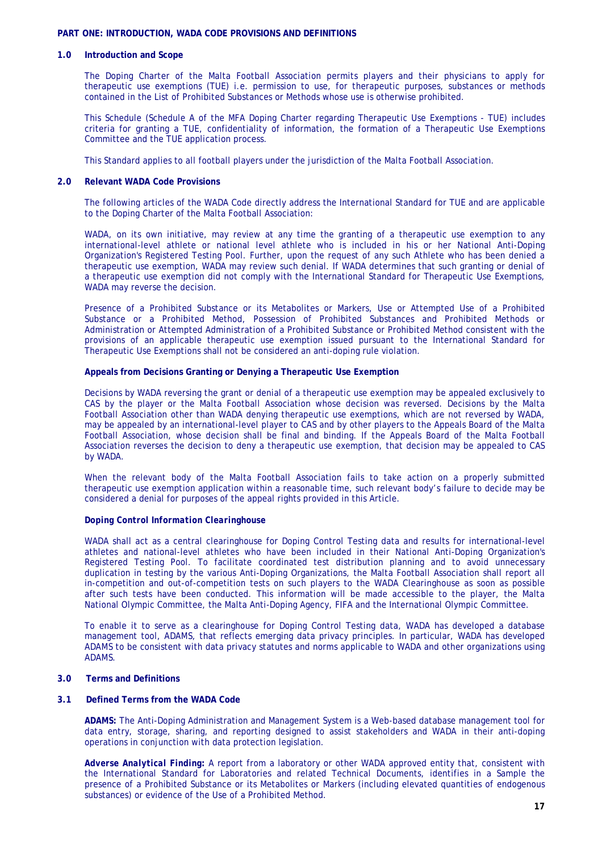#### **PART ONE: INTRODUCTION, WADA CODE PROVISIONS AND DEFINITIONS**

#### **1.0 Introduction and Scope**

The Doping Charter of the Malta Football Association permits players and their physicians to apply for therapeutic use exemptions (TUE) i.e. permission to use, for therapeutic purposes, substances or methods contained in the List of Prohibited Substances or Methods whose use is otherwise prohibited.

This Schedule (Schedule A of the MFA Doping Charter regarding Therapeutic Use Exemptions - TUE) includes criteria for granting a TUE, confidentiality of information, the formation of a Therapeutic Use Exemptions Committee and the TUE application process.

This Standard applies to all football players under the jurisdiction of the Malta Football Association.

#### **2.0 Relevant WADA Code Provisions**

The following articles of the WADA Code directly address the International Standard for TUE and are applicable to the Doping Charter of the Malta Football Association:

WADA, on its own initiative, may review at any time the granting of a therapeutic use exemption to any international-level athlete or national level athlete who is included in his or her National Anti-Doping Organization's Registered Testing Pool. Further, upon the request of any such Athlete who has been denied a therapeutic use exemption, WADA may review such denial. If WADA determines that such granting or denial of a therapeutic use exemption did not comply with the International Standard for Therapeutic Use Exemptions, WADA may reverse the decision.

Presence of a Prohibited Substance or its Metabolites or Markers, Use or Attempted Use of a Prohibited Substance or a Prohibited Method, Possession of Prohibited Substances and Prohibited Methods or Administration or Attempted Administration of a Prohibited Substance or Prohibited Method consistent with the provisions of an applicable therapeutic use exemption issued pursuant to the International Standard for Therapeutic Use Exemptions shall not be considered an anti-doping rule violation.

#### **Appeals from Decisions Granting or Denying a Therapeutic Use Exemption**

Decisions by WADA reversing the grant or denial of a therapeutic use exemption may be appealed exclusively to CAS by the player or the Malta Football Association whose decision was reversed. Decisions by the Malta Football Association other than WADA denying therapeutic use exemptions, which are not reversed by WADA, may be appealed by an international-level player to CAS and by other players to the Appeals Board of the Malta Football Association, whose decision shall be final and binding. If the Appeals Board of the Malta Football Association reverses the decision to deny a therapeutic use exemption, that decision may be appealed to CAS by WADA.

When the relevant body of the Malta Football Association fails to take action on a properly submitted therapeutic use exemption application within a reasonable time, such relevant body's failure to decide may be considered a denial for purposes of the appeal rights provided in this Article.

#### *Doping Control Information Clearinghouse*

WADA shall act as a central clearinghouse for Doping Control Testing data and results for international-level athletes and national-level athletes who have been included in their National Anti-Doping Organization's Registered Testing Pool. To facilitate coordinated test distribution planning and to avoid unnecessary duplication in testing by the various Anti-Doping Organizations, the Malta Football Association shall report all in-competition and out-of-competition tests on such players to the WADA Clearinghouse as soon as possible after such tests have been conducted. This information will be made accessible to the player, the Malta National Olympic Committee, the Malta Anti-Doping Agency, FIFA and the International Olympic Committee.

To enable it to serve as a clearinghouse for Doping Control Testing data, WADA has developed a database management tool, *ADAMS*, that reflects emerging data privacy principles. In particular, WADA has developed *ADAMS* to be consistent with data privacy statutes and norms applicable to WADA and other organizations using *ADAMS*.

#### **3.0 Terms and Definitions**

#### **3.1 Defined Terms from the WADA Code**

*ADAMS***:** The Anti-Doping Administration and Management System is a Web-based database management tool for data entry, storage, sharing, and reporting designed to assist stakeholders and *WADA* in their anti-doping operations in conjunction with data protection legislation.

*Adverse Analytical Finding***:** A report from a laboratory or other WADA approved entity that, consistent with the International Standard for Laboratories and related Technical Documents, identifies in a Sample the presence of a Prohibited Substance or its Metabolites or Markers (including elevated quantities of endogenous substances) or evidence of the Use of a Prohibited Method.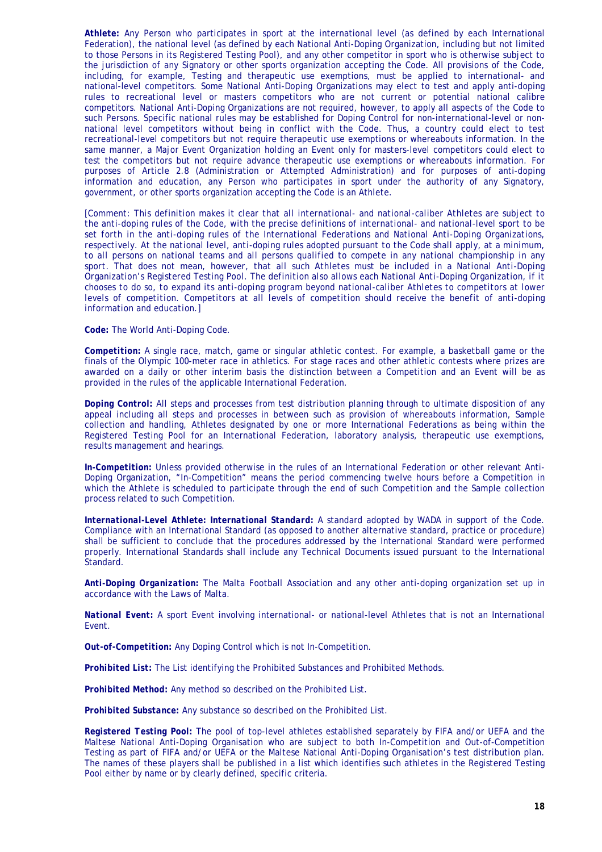*Athlete***:** Any Person who participates in sport at the international level (as defined by each International Federation), the national level (as defined by each National Anti-Doping Organization, including but not limited to those Persons in its Registered Testing Pool), and any other competitor in sport who is otherwise subject to the jurisdiction of any Signatory or other sports organization accepting the Code. All provisions of the Code, including, for example, Testing and therapeutic use exemptions, must be applied to international- and national-level competitors. Some National Anti-Doping Organizations may elect to test and apply anti-doping rules to recreational level or masters competitors who are not current or potential national calibre competitors. National Anti-Doping Organizations are not required, however, to apply all aspects of the Code to such Persons. Specific national rules may be established for Doping Control for non-international-level or nonnational level competitors without being in conflict with the Code. Thus, a country could elect to test recreational-level competitors but not require therapeutic use exemptions or whereabouts information. In the same manner, a Major Event Organization holding an Event only for masters-level competitors could elect to test the competitors but not require advance therapeutic use exemptions or whereabouts information. For purposes of Article 2.8 (Administration or Attempted Administration) and for purposes of anti-doping information and education, any Person who participates in sport under the authority of any Signatory, government, or other sports organization accepting the Code is an Athlete.

*[Comment: This definition makes it clear that all international- and national-caliber Athletes are subject to the anti-doping rules of the Code, with the precise definitions of international- and national-level sport to be set forth in the anti-doping rules of the International Federations and National Anti-Doping Organizations, respectively. At the national level, anti-doping rules adopted pursuant to the Code shall apply, at a minimum, to all persons on national teams and all persons qualified to compete in any national championship in any*  sport. That does not mean, however, that all such Athletes must be included in a National Anti-Doping *Organization's Registered Testing Pool. The definition also allows each National Anti-Doping Organization, if it chooses to do so, to expand its anti-doping program beyond national-caliber Athletes to competitors at lower levels of competition. Competitors at all levels of competition should receive the benefit of anti-doping information and education.]* 

*Code:* The World Anti-Doping *Code*.

*Competition:* A single race, match, game or singular athletic contest. For example, a basketball game or the finals of the Olympic 100-meter race in athletics. For stage races and other athletic contests where prizes are awarded on a daily or other interim basis the distinction between a Competition and an Event will be as provided in the rules of the applicable International Federation.

*Doping Control***:** All steps and processes from test distribution planning through to ultimate disposition of any appeal including all steps and processes in between such as provision of whereabouts information, Sample collection and handling, Athletes designated by one or more International Federations as being within the Registered Testing Pool for an International Federation, laboratory analysis, therapeutic use exemptions, results management and hearings.

*In-Competition***:** Unless provided otherwise in the rules of an International Federation or other relevant Anti-Doping Organization, "In-Competition" means the period commencing twelve hours before a Competition in which the Athlete is scheduled to participate through the end of such Competition and the Sample collection process related to such Competition.

*International-Level Athlete: International Standard:* A standard adopted by WADA in support of the Code. Compliance with an International Standard (as opposed to another alternative standard, practice or procedure) shall be sufficient to conclude that the procedures addressed by the International Standard were performed properly. International Standards shall include any Technical Documents issued pursuant to the International Standard.

*Anti-Doping Organization:* The Malta Football Association and any other anti-doping organization set up in accordance with the Laws of Malta.

*National Event:* A sport Event involving international- or national-level Athletes that is not an International Event.

*Out-of-Competition***:** Any Doping Control which is not In-Competition.

*Prohibited List***:** The List identifying the Prohibited Substances and Prohibited Methods.

*Prohibited Method***:** Any method so described on the Prohibited List.

*Prohibited Substance***:** Any substance so described on the Prohibited List.

*Registered Testing Pool***:** The pool of top-level athletes established separately by FIFA and/or UEFA and the Maltese National Anti-Doping Organisation who are subject to both In-Competition and Out-of-Competition Testing as part of FIFA and/or UEFA or the Maltese National Anti-Doping Organisation's test distribution plan. The names of these players shall be published in a list which identifies such athletes in the Registered Testing Pool either by name or by clearly defined, specific criteria.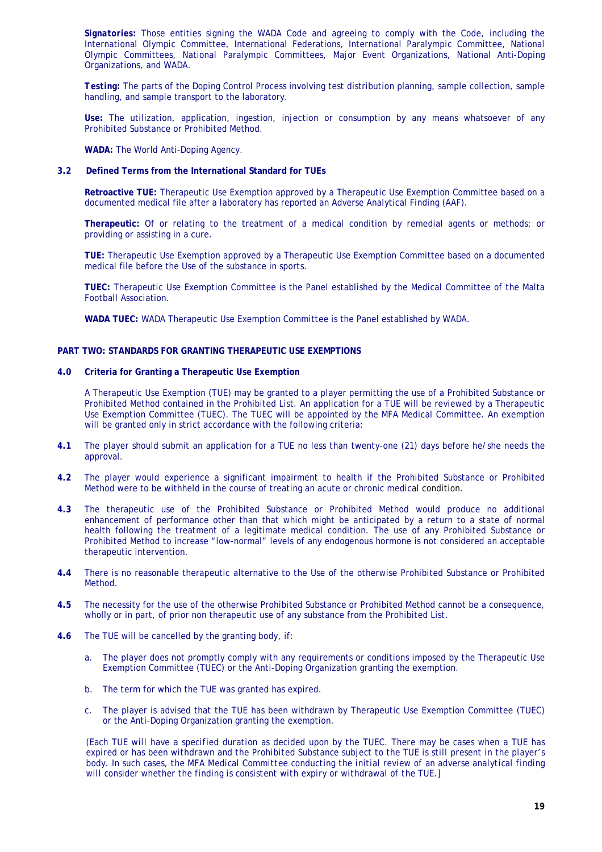*Signatories:* Those entities signing the WADA Code and agreeing to comply with the Code, including the International Olympic Committee, International Federations, International Paralympic Committee, National Olympic Committees, National Paralympic Committees, Major Event Organizations, National Anti-Doping Organizations, and WADA.

*Testing:* The parts of the Doping Control Process involving test distribution planning, sample collection, sample handling, and sample transport to the laboratory.

*Use***:** The utilization, application, ingestion, injection or consumption by any means whatsoever of any Prohibited Substance or Prohibited Method.

*WADA:* The World Anti-Doping Agency.

#### **3.2 Defined Terms from the International Standard for TUEs**

**Retroactive TUE:** Therapeutic Use Exemption approved by a Therapeutic Use Exemption Committee based on a documented medical file after a laboratory has reported an Adverse Analytical Finding (AAF).

**Therapeutic:** Of or relating to the treatment of a medical condition by remedial agents or methods; or providing or assisting in a cure.

**TUE:** Therapeutic Use Exemption approved by a Therapeutic Use Exemption Committee based on a documented medical file before the *Use* of the substance in sports.

**TUEC:** Therapeutic Use Exemption Committee is the Panel established by the Medical Committee of the Malta Football Association.

**WADA TUEC:** WADA Therapeutic Use Exemption Committee is the Panel established by WADA.

#### **PART TWO: STANDARDS FOR GRANTING THERAPEUTIC USE EXEMPTIONS**

**4.0 Criteria for Granting a Therapeutic** *Use* **Exemption** 

A Therapeutic Use Exemption (TUE) may be granted to a player permitting the use of a Prohibited Substance or Prohibited Method contained in the Prohibited List. An application for a TUE will be reviewed by a Therapeutic Use Exemption Committee (TUEC). The TUEC will be appointed by the MFA Medical Committee. An exemption will be granted only in strict accordance with the following criteria:

- **4.1** The player should submit an application for a TUE no less than twenty-one (21) days before he/she needs the approval.
- **4.2** The player would experience a significant impairment to health if the Prohibited Substance or Prohibited Method were to be withheld in the course of treating an acute or chronic medical condition.
- **4.3** The therapeutic use of the Prohibited Substance or Prohibited Method would produce no additional enhancement of performance other than that which might be anticipated by a return to a state of normal health following the treatment of a legitimate medical condition. The use of any Prohibited Substance or Prohibited Method to increase "low-normal" levels of any endogenous hormone is not considered an acceptable therapeutic intervention.
- **4.4** There is no reasonable therapeutic alternative to the Use of the otherwise Prohibited Substance or Prohibited Method.
- **4.5** The necessity for the use of the otherwise Prohibited Substance or Prohibited Method cannot be a consequence, wholly or in part, of prior non therapeutic use of any substance from the Prohibited List.
- **4.6** The TUE will be cancelled by the granting body, if:
	- a. The player does not promptly comply with any requirements or conditions imposed by the Therapeutic Use Exemption Committee (TUEC) or the Anti-Doping Organization granting the exemption.
	- b. The term for which the TUE was granted has expired.
	- c. The player is advised that the TUE has been withdrawn by Therapeutic Use Exemption Committee (TUEC) or the Anti-Doping Organization granting the exemption.

*(Each TUE will have a specified duration as decided upon by the TUEC. There may be cases when a TUE has expired or has been withdrawn and the Prohibited Substance subject to the TUE is still present in the player's body. In such cases, the MFA Medical Committee conducting the initial review of an adverse analytical finding will consider whether the finding is consistent with expiry or withdrawal of the TUE.]*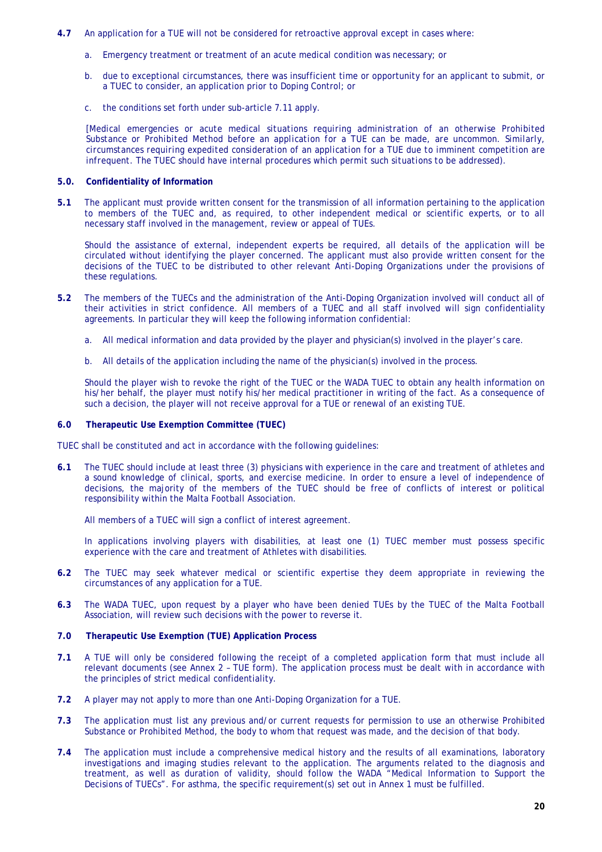- **4.7** An application for a TUE will not be considered for retroactive approval except in cases where:
	- a. Emergency treatment or treatment of an acute medical condition was necessary; or
	- b. due to exceptional circumstances, there was insufficient time or opportunity for an applicant to submit, or a TUEC to consider, an application prior to Doping Control; or
	- c. the conditions set forth under sub-article 7.11 apply.

*[Medical emergencies or acute medical situations requiring administration of an otherwise Prohibited Substance or Prohibited Method before an application for a* TUE *can be made, are uncommon. Similarly, circumstances requiring expedited consideration of an application for a* TUE *due to imminent competition are infrequent. The TUEC should have internal procedures which permit such situations to be addressed).* 

#### **5.0. Confidentiality of Information**

**5.1** The applicant must provide written consent for the transmission of all information pertaining to the application to members of the TUEC and, as required, to other independent medical or scientific experts, or to all necessary staff involved in the management, review or appeal of TUEs.

Should the assistance of external, independent experts be required, all details of the application will be circulated without identifying the player concerned. The applicant must also provide written consent for the decisions of the TUEC to be distributed to other relevant Anti-Doping Organizations under the provisions of these regulations.

- **5.2** The members of the TUECs and the administration of the Anti-Doping Organization involved will conduct all of their activities in strict confidence. All members of a TUEC and all staff involved will sign confidentiality agreements. In particular they will keep the following information confidential:
	- a. All medical information and data provided by the player and physician(s) involved in the player's care.
	- b. All details of the application including the name of the physician(s) involved in the process.

Should the player wish to revoke the right of the TUEC or the WADA TUEC to obtain any health information on his/her behalf, the player must notify his/her medical practitioner in writing of the fact. As a consequence of such a decision, the player will not receive approval for a TUE or renewal of an existing TUE.

#### **6.0 Therapeutic Use Exemption Committee (TUEC)**

TUEC shall be constituted and act in accordance with the following guidelines:

**6.1** The TUEC should include at least three (3) physicians with experience in the care and treatment of athletes and a sound knowledge of clinical, sports, and exercise medicine. In order to ensure a level of independence of decisions, the majority of the members of the TUEC should be free of conflicts of interest or political responsibility within the Malta Football Association.

All members of a TUEC will sign a conflict of interest agreement.

In applications involving players with disabilities, at least one (1) TUEC member must possess specific experience with the care and treatment of Athletes with disabilities.

- **6.2** The TUEC may seek whatever medical or scientific expertise they deem appropriate in reviewing the circumstances of any application for a TUE.
- **6.3** The WADA TUEC, upon request by a player who have been denied TUEs by the TUEC of the Malta Football Association, will review such decisions with the power to reverse it.

## **7.0 Therapeutic Use Exemption (TUE) Application Process**

- **7.1** A TUE will only be considered following the receipt of a completed application form that must include all relevant documents (see Annex 2 – TUE form). The application process must be dealt with in accordance with the principles of strict medical confidentiality.
- **7.2** A player may not apply to more than one Anti-Doping Organization for a TUE.
- **7.3** The application must list any previous and/or current requests for permission to use an otherwise Prohibited Substance or Prohibited Method, the body to whom that request was made, and the decision of that body.
- **7.4** The application must include a comprehensive medical history and the results of all examinations, laboratory investigations and imaging studies relevant to the application. The arguments related to the diagnosis and treatment, as well as duration of validity, should follow the WADA "Medical Information to Support the Decisions of TUECs". For asthma, the specific requirement(s) set out in Annex 1 must be fulfilled.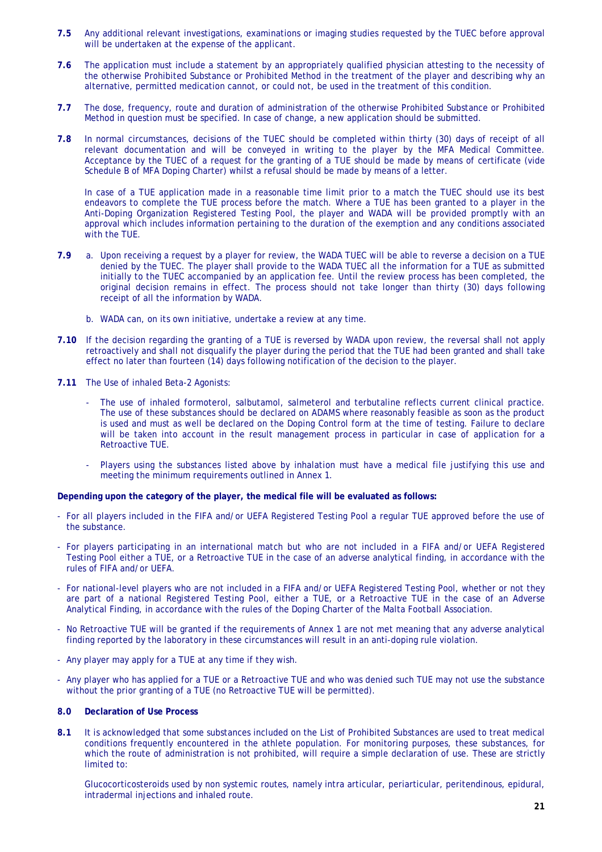- **7.5** Any additional relevant investigations, examinations or imaging studies requested by the TUEC before approval will be undertaken at the expense of the applicant.
- **7.6** The application must include a statement by an appropriately qualified physician attesting to the necessity of the otherwise Prohibited Substance or Prohibited Method in the treatment of the player and describing why an alternative, permitted medication cannot, or could not, be used in the treatment of this condition.
- **7.7** The dose, frequency, route and duration of administration of the otherwise Prohibited Substance or Prohibited Method in question must be specified. In case of change, a new application should be submitted.
- **7.8** In normal circumstances, decisions of the TUEC should be completed within thirty (30) days of receipt of all relevant documentation and will be conveyed in writing to the player by the MFA Medical Committee. Acceptance by the TUEC of a request for the granting of a TUE should be made by means of certificate (vide Schedule B of MFA Doping Charter) whilst a refusal should be made by means of a letter.

In case of a TUE application made in a reasonable time limit prior to a match the TUEC should use its best endeavors to complete the TUE process before the match. Where a TUE has been granted to a player in the Anti-Doping Organization Registered Testing Pool, the player and WADA will be provided promptly with an approval which includes information pertaining to the duration of the exemption and any conditions associated with the TUE.

- **7.9** a. Upon receiving a request by a player for review, the WADA TUEC will be able to reverse a decision on a TUE denied by the TUEC. The player shall provide to the WADA TUEC all the information for a TUE as submitted initially to the TUEC accompanied by an application fee. Until the review process has been completed, the original decision remains in effect. The process should not take longer than thirty (30) days following receipt of all the information by WADA.
	- b. WADA can, on its own initiative, undertake a review at any time.
- **7.10** If the decision regarding the granting of a TUE is reversed by WADA upon review, the reversal shall not apply retroactively and shall not disqualify the player during the period that the TUE had been granted and shall take effect no later than fourteen (14) days following notification of the decision to the player.
- **7.11** The Use of inhaled Beta-2 Agonists:
	- The use of inhaled formoterol, salbutamol, salmeterol and terbutaline reflects current clinical practice. The use of these substances should be declared on *ADAMS* where reasonably feasible as soon as the product is used and must as well be declared on the Doping Control form at the time of testing. Failure to declare will be taken into account in the result management process in particular in case of application for a Retroactive TUE.
	- Players using the substances listed above by inhalation must have a medical file justifying this use and meeting the minimum requirements outlined in Annex 1.

#### **Depending upon the category of the player, the medical file will be evaluated as follows:**

- For all players included in the FIFA and/or UEFA Registered Testing Pool a regular TUE approved before the use of the substance.
- For players participating in an international match but who are not included in a FIFA and/or UEFA Registered Testing Pool either a TUE, or a Retroactive TUE in the case of an adverse analytical finding, in accordance with the rules of FIFA and/or UEFA.
- For national-level players who are not included in a FIFA and/or UEFA Registered Testing Pool, whether or not they are part of a national Registered Testing Pool, either a TUE, or a Retroactive TUE in the case of an Adverse Analytical Finding, in accordance with the rules of the Doping Charter of the Malta Football Association.
- No Retroactive TUE will be granted if the requirements of Annex 1 are not met meaning that any adverse analytical finding reported by the laboratory in these circumstances will result in an anti-doping rule violation.
- Any player may apply for a TUE at any time if they wish.
- Any player who has applied for a TUE or a Retroactive TUE and who was denied such TUE may not use the substance without the prior granting of a TUE (no Retroactive TUE will be permitted).

#### **8.0 Declaration of Use Process**

**8.1** It is acknowledged that some substances included on the List of Prohibited Substances are used to treat medical conditions frequently encountered in the athlete population. For monitoring purposes, these substances, for which the route of administration is not prohibited, will require a simple declaration of use. These are strictly limited to:

Glucocorticosteroids used by non systemic routes, namely intra articular, periarticular, peritendinous, epidural, intradermal injections and inhaled route.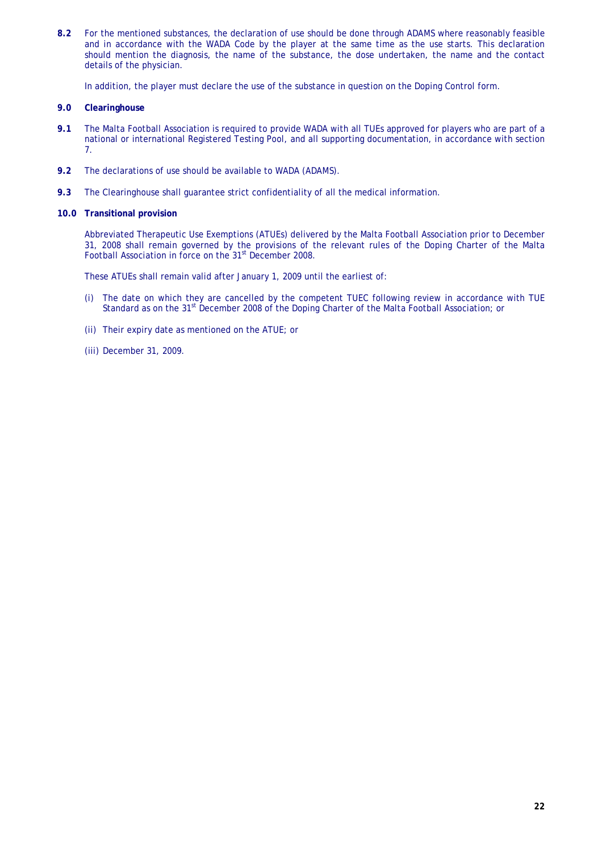**8.2** For the mentioned substances, the declaration of use should be done through *ADAMS* where reasonably feasible and in accordance with the WADA Code by the player at the same time as the use starts. This declaration should mention the diagnosis, the name of the substance, the dose undertaken, the name and the contact details of the physician.

In addition, the player must declare the use of the substance in question on the Doping Control form.

#### **9.0 Clearinghouse**

- **9.1** The Malta Football Association is required to provide WADA with all TUEs approved for players who are part of a national or international Registered Testing Pool, and all supporting documentation, in accordance with section 7.
- **9.2** The declarations of use should be available to WADA (*ADAMS*).
- **9.3** The Clearinghouse shall guarantee strict confidentiality of all the medical information.

#### **10.0 Transitional provision**

Abbreviated Therapeutic Use Exemptions (ATUEs) delivered by the Malta Football Association prior to December 31, 2008 shall remain governed by the provisions of the relevant rules of the Doping Charter of the Malta Football Association in force on the 31<sup>st</sup> December 2008.

These ATUEs shall remain valid after January 1, 2009 until the earliest of:

- (i) The date on which they are cancelled by the competent TUEC following review in accordance with TUE Standard as on the 31st December 2008 of the Doping Charter of the Malta Football Association; or
- (ii) Their expiry date as mentioned on the ATUE; or
- (iii) December 31, 2009.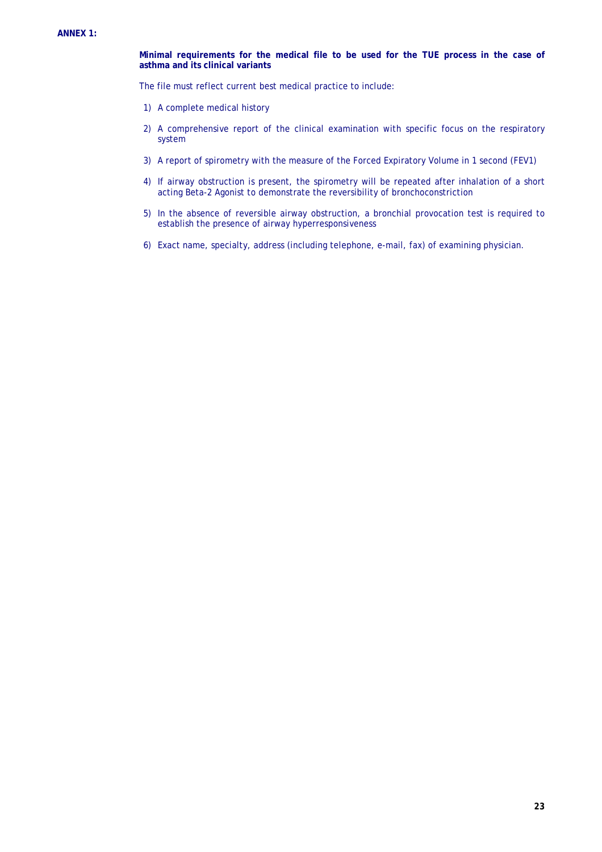**Minimal requirements for the medical file to be used for the TUE process in the case of asthma and its clinical variants** 

The file must reflect current best medical practice to include:

- 1) A complete medical history
- 2) A comprehensive report of the clinical examination with specific focus on the respiratory system<sup>-</sup>
- 3) A report of spirometry with the measure of the Forced Expiratory Volume in 1 second (FEV1)
- 4) If airway obstruction is present, the spirometry will be repeated after inhalation of a short acting Beta-2 Agonist to demonstrate the reversibility of bronchoconstriction
- 5) In the absence of reversible airway obstruction, a bronchial provocation test is required to establish the presence of airway hyperresponsiveness
- 6) Exact name, specialty, address (including telephone, e-mail, fax) of examining physician.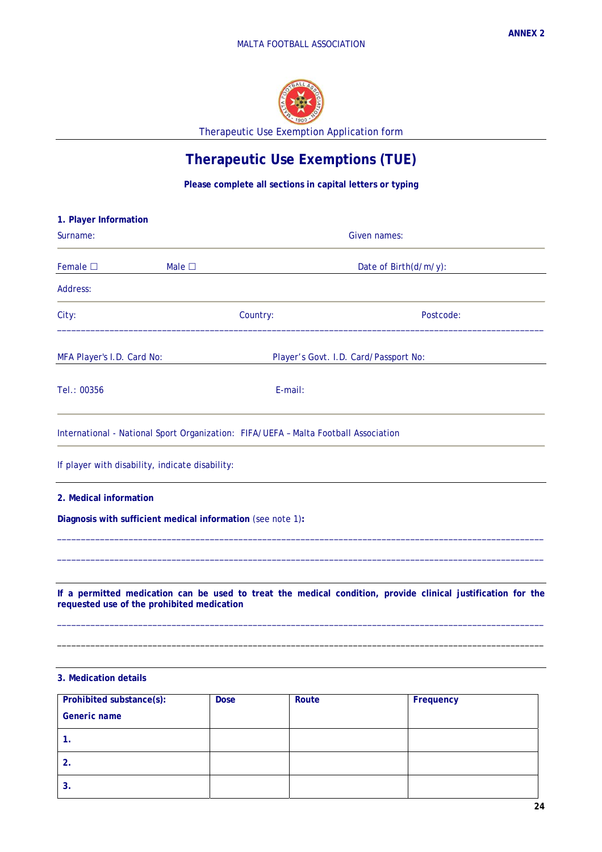

Therapeutic Use Exemption Application form

# **Therapeutic Use Exemptions (TUE)**

**Please complete all sections in capital letters or typing** 

| 1. Player Information                                       |                                                                                     |                                                                                                                     |  |
|-------------------------------------------------------------|-------------------------------------------------------------------------------------|---------------------------------------------------------------------------------------------------------------------|--|
| Surname:                                                    |                                                                                     | Given names:                                                                                                        |  |
| Female $\square$                                            | Male $\square$                                                                      | Date of Birth(d/m/y):                                                                                               |  |
| Address:                                                    |                                                                                     |                                                                                                                     |  |
| City:                                                       | Country:                                                                            | Postcode:                                                                                                           |  |
| MFA Player's I.D. Card No:                                  |                                                                                     | Player's Govt. I.D. Card/Passport No:                                                                               |  |
| Tel.: 00356                                                 | E-mail:                                                                             |                                                                                                                     |  |
|                                                             | International - National Sport Organization: FIFA/UEFA - Malta Football Association |                                                                                                                     |  |
| If player with disability, indicate disability:             |                                                                                     |                                                                                                                     |  |
| 2. Medical information                                      |                                                                                     |                                                                                                                     |  |
| Diagnosis with sufficient medical information (see note 1): |                                                                                     |                                                                                                                     |  |
|                                                             |                                                                                     |                                                                                                                     |  |
|                                                             |                                                                                     |                                                                                                                     |  |
|                                                             |                                                                                     | <u>If a normitted medication can be used to treat the medical condition, provide clinical instification for the</u> |  |

**If a permitted medication can be used to treat the medical condition, provide clinical justification for the requested use of the prohibited medication**

\_\_\_\_\_\_\_\_\_\_\_\_\_\_\_\_\_\_\_\_\_\_\_\_\_\_\_\_\_\_\_\_\_\_\_\_\_\_\_\_\_\_\_\_\_\_\_\_\_\_\_\_\_\_\_\_\_\_\_\_\_\_\_\_\_\_\_\_\_\_\_\_\_\_\_\_\_\_\_\_\_\_\_\_\_\_\_\_\_\_\_\_\_\_\_\_\_\_\_\_\_\_

\_\_\_\_\_\_\_\_\_\_\_\_\_\_\_\_\_\_\_\_\_\_\_\_\_\_\_\_\_\_\_\_\_\_\_\_\_\_\_\_\_\_\_\_\_\_\_\_\_\_\_\_\_\_\_\_\_\_\_\_\_\_\_\_\_\_\_\_\_\_\_\_\_\_\_\_\_\_\_\_\_\_\_\_\_\_\_\_\_\_\_\_\_\_\_\_\_\_\_\_\_\_

**3. Medication details** 

| Prohibited substance(s): | <b>Dose</b> | Route | Frequency |
|--------------------------|-------------|-------|-----------|
| Generic name             |             |       |           |
| . .                      |             |       |           |
| 2.                       |             |       |           |
| 3.                       |             |       |           |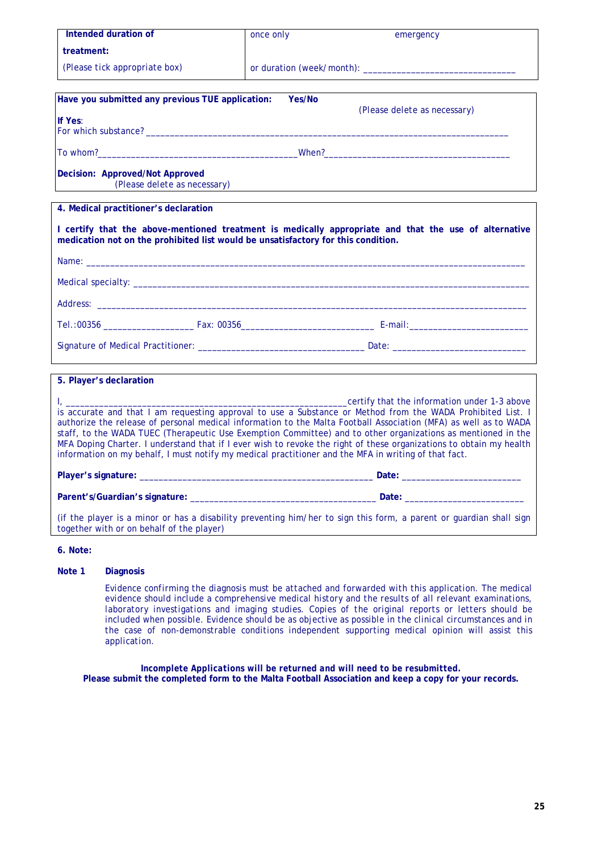| Intended duration of                                                                                                                                                                                                                                                                                                                                                                                                                                                                                                                                                                                                           | once only | emergency                                                                                             |
|--------------------------------------------------------------------------------------------------------------------------------------------------------------------------------------------------------------------------------------------------------------------------------------------------------------------------------------------------------------------------------------------------------------------------------------------------------------------------------------------------------------------------------------------------------------------------------------------------------------------------------|-----------|-------------------------------------------------------------------------------------------------------|
| treatment:                                                                                                                                                                                                                                                                                                                                                                                                                                                                                                                                                                                                                     |           |                                                                                                       |
| (Please tick appropriate box)                                                                                                                                                                                                                                                                                                                                                                                                                                                                                                                                                                                                  |           |                                                                                                       |
| Have you submitted any previous TUE application:                                                                                                                                                                                                                                                                                                                                                                                                                                                                                                                                                                               | Yes/No    | (Please delete as necessary)                                                                          |
| If Yes:                                                                                                                                                                                                                                                                                                                                                                                                                                                                                                                                                                                                                        |           |                                                                                                       |
| To whom? Note that the contract of the contract of the contract of the contract of the contract of the contract of the contract of the contract of the contract of the contract of the contract of the contract of the contrac                                                                                                                                                                                                                                                                                                                                                                                                 |           |                                                                                                       |
| Decision: Approved/Not Approved<br>(Please delete as necessary)                                                                                                                                                                                                                                                                                                                                                                                                                                                                                                                                                                |           |                                                                                                       |
| 4. Medical practitioner's declaration                                                                                                                                                                                                                                                                                                                                                                                                                                                                                                                                                                                          |           |                                                                                                       |
| medication not on the prohibited list would be unsatisfactory for this condition.                                                                                                                                                                                                                                                                                                                                                                                                                                                                                                                                              |           | I certify that the above-mentioned treatment is medically appropriate and that the use of alternative |
| Name: when the contract of the contract of the contract of the contract of the contract of the contract of the contract of the contract of the contract of the contract of the contract of the contract of the contract of the                                                                                                                                                                                                                                                                                                                                                                                                 |           |                                                                                                       |
|                                                                                                                                                                                                                                                                                                                                                                                                                                                                                                                                                                                                                                |           |                                                                                                       |
|                                                                                                                                                                                                                                                                                                                                                                                                                                                                                                                                                                                                                                |           |                                                                                                       |
|                                                                                                                                                                                                                                                                                                                                                                                                                                                                                                                                                                                                                                |           |                                                                                                       |
|                                                                                                                                                                                                                                                                                                                                                                                                                                                                                                                                                                                                                                |           |                                                                                                       |
| 5. Player's declaration                                                                                                                                                                                                                                                                                                                                                                                                                                                                                                                                                                                                        |           |                                                                                                       |
| certify that the information under 1-3 above<br>is accurate and that I am requesting approval to use a Substance or Method from the WADA Prohibited List. I<br>authorize the release of personal medical information to the Malta Football Association (MFA) as well as to WADA<br>staff, to the WADA TUEC (Therapeutic Use Exemption Committee) and to other organizations as mentioned in the<br>MFA Doping Charter. I understand that if I ever wish to revoke the right of these organizations to obtain my health<br>information on my behalf, I must notify my medical practitioner and the MFA in writing of that fact. |           |                                                                                                       |
|                                                                                                                                                                                                                                                                                                                                                                                                                                                                                                                                                                                                                                |           |                                                                                                       |
|                                                                                                                                                                                                                                                                                                                                                                                                                                                                                                                                                                                                                                |           |                                                                                                       |
| (if the player is a minor or has a disability preventing him/her to sign this form, a parent or guardian shall sign<br>together with or on behalf of the player)                                                                                                                                                                                                                                                                                                                                                                                                                                                               |           |                                                                                                       |

#### **6. Note:**

## **Note 1 Diagnosis**

*Evidence confirming the diagnosis must be attached and forwarded with this application. The medical evidence should include a comprehensive medical history and the results of all relevant examinations, laboratory investigations and imaging studies. Copies of the original reports or letters should be included when possible. Evidence should be as objective as possible in the clinical circumstances and in the case of non-demonstrable conditions independent supporting medical opinion will assist this application.* 

*Incomplete Applications will be returned and will need to be resubmitted.*  **Please submit the completed form to the Malta Football Association and keep a copy for your records.**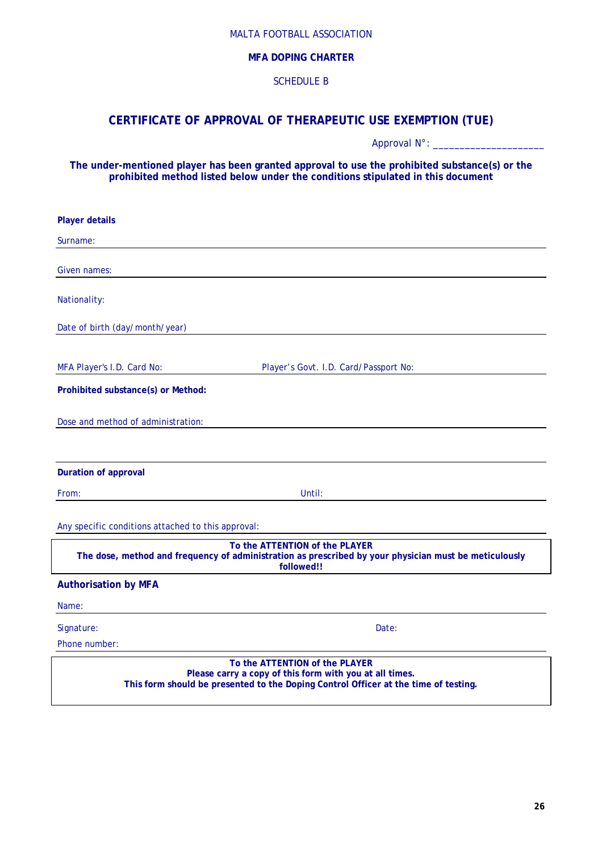## **MFA DOPING CHARTER**

## SCHEDULE B

## **CERTIFICATE OF APPROVAL OF THERAPEUTIC USE EXEMPTION (TUE)**

Approval N°: \_\_\_\_\_\_\_\_\_\_\_\_\_\_\_\_\_\_\_\_\_

**The under-mentioned player has been granted approval to use the prohibited substance(s) or the prohibited method listed below under the conditions stipulated in this document** 

| <b>Player details</b>                                                                                                                                                            |
|----------------------------------------------------------------------------------------------------------------------------------------------------------------------------------|
| Surname:                                                                                                                                                                         |
| Given names:                                                                                                                                                                     |
| Nationality:                                                                                                                                                                     |
| Date of birth (day/month/year)                                                                                                                                                   |
| MFA Player's I.D. Card No:<br>Player's Govt. I.D. Card/Passport No:                                                                                                              |
| Prohibited substance(s) or Method:                                                                                                                                               |
| Dose and method of administration:                                                                                                                                               |
| <b>Duration of approval</b>                                                                                                                                                      |
| From:<br>Until:                                                                                                                                                                  |
| Any specific conditions attached to this approval:                                                                                                                               |
| To the ATTENTION of the PLAYER<br>The dose, method and frequency of administration as prescribed by your physician must be meticulously<br>followed!!                            |
| <b>Authorisation by MFA</b>                                                                                                                                                      |
| Name:                                                                                                                                                                            |
| Signature:<br>Date:<br>Phone number:                                                                                                                                             |
| To the ATTENTION of the PLAYER<br>Please carry a copy of this form with you at all times.<br>This form should be presented to the Doping Control Officer at the time of testing. |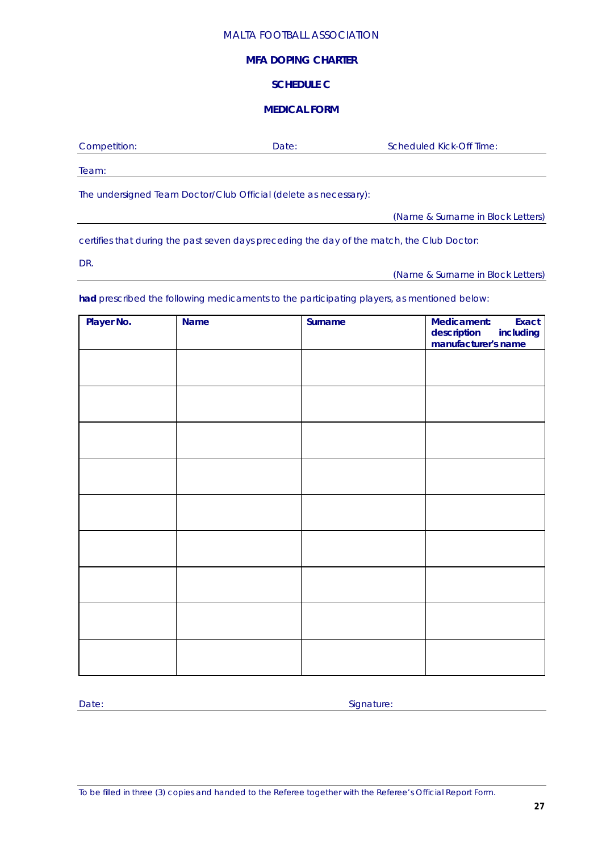## **MFA DOPING CHARTER**

## **SCHEDULE C**

## **MEDICAL FORM**

| Competition: | Date: | Scheduled Kick-Off Time: |
|--------------|-------|--------------------------|
| Team:        |       |                          |
|              |       |                          |

The undersigned Team Doctor/Club Official (delete as necessary):

(Name & Surname in Block Letters)

certifies that during the past seven days preceding the day of the match, the Club Doctor:

DR.

(Name & Surname in Block Letters)

**had** prescribed the following medicaments to the participating players, as mentioned below:

| Player No. | <b>Name</b> | Surname | Medicament:<br>Exact<br>description includi<br>manufacturer's name<br>including |
|------------|-------------|---------|---------------------------------------------------------------------------------|
|            |             |         |                                                                                 |
|            |             |         |                                                                                 |
|            |             |         |                                                                                 |
|            |             |         |                                                                                 |
|            |             |         |                                                                                 |
|            |             |         |                                                                                 |
|            |             |         |                                                                                 |
|            |             |         |                                                                                 |
|            |             |         |                                                                                 |

Date: Signature: Signature: Signature: Signature: Signature: Signature: Signature: Signature: Signature: Signature: Signature: Signature: Signature: Signature: Signature: Signature: Signature: Signature: Signature: Signatu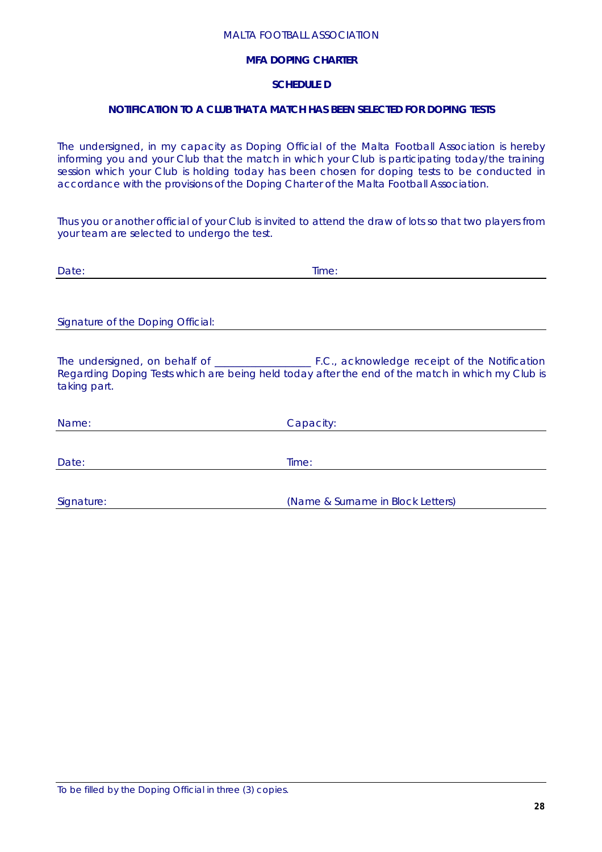## **MFA DOPING CHARTER**

## **SCHEDULE D**

## **NOTIFICATION TO A CLUB THAT A MATCH HAS BEEN SELECTED FOR DOPING TESTS**

The undersigned, in my capacity as Doping Official of the Malta Football Association is hereby informing you and your Club that the match in which your Club is participating today/the training session which your Club is holding today has been chosen for doping tests to be conducted in accordance with the provisions of the Doping Charter of the Malta Football Association.

Thus you or another official of your Club is invited to attend the draw of lots so that two players from your team are selected to undergo the test.

| Date:                             | Time:                                                                                            |
|-----------------------------------|--------------------------------------------------------------------------------------------------|
|                                   |                                                                                                  |
|                                   |                                                                                                  |
| Signature of the Doping Official: |                                                                                                  |
|                                   |                                                                                                  |
| taking part.                      | Regarding Doping Tests which are being held today after the end of the match in which my Club is |
| Name:                             | Capacity:                                                                                        |
|                                   |                                                                                                  |
| Date:                             | Time:                                                                                            |
|                                   |                                                                                                  |
| Signature:                        | (Name & Surname in Block Letters)                                                                |

To be filled by the Doping Official in three (3) copies.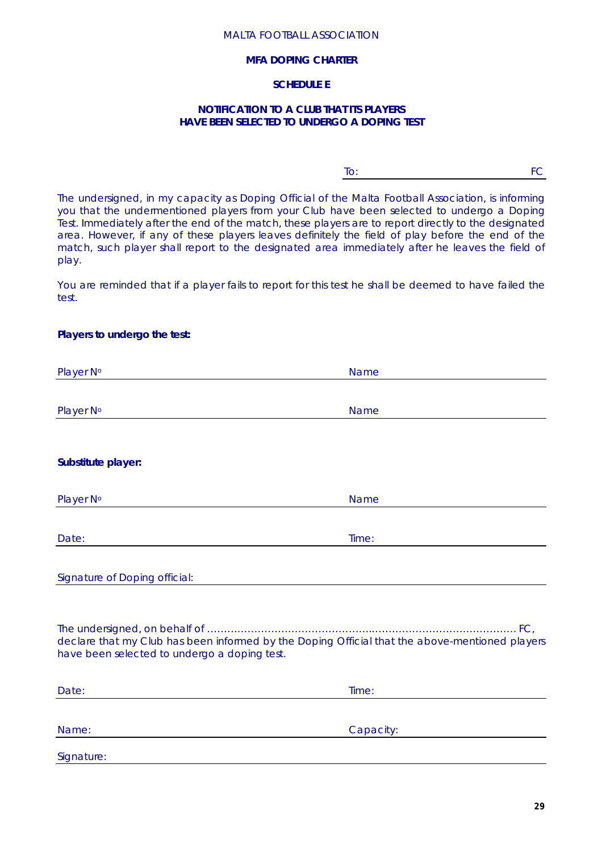## **MFA DOPING CHARTER**

## **SCHEDULE E**

## **NOTIFICATION TO A CLUB THAT ITS PLAYERS HAVE BEEN SELECTED TO UNDERGO A DOPING TEST**

To: FC

The undersigned, in my capacity as Doping Official of the Malta Football Association, is informing you that the undermentioned players from your Club have been selected to undergo a Doping Test. Immediately after the end of the match, these players are to report directly to the designated area. However, if any of these players leaves definitely the field of play before the end of the match, such player shall report to the designated area immediately after he leaves the field of play.

You are reminded that if a player fails to report for this test he shall be deemed to have failed the test.

## **Players to undergo the test:**

| Player N°                                                                                                                                      | <b>Name</b> |
|------------------------------------------------------------------------------------------------------------------------------------------------|-------------|
|                                                                                                                                                |             |
| Player N°                                                                                                                                      | Name        |
|                                                                                                                                                |             |
| Substitute player:                                                                                                                             |             |
| Player N°                                                                                                                                      | <b>Name</b> |
| Date:                                                                                                                                          | Time:       |
| Signature of Doping official:                                                                                                                  |             |
| declare that my Club has been informed by the Doping Official that the above-mentioned players<br>have been selected to undergo a doping test. |             |
| Date:                                                                                                                                          | Time:       |
| Name:                                                                                                                                          | Capacity:   |
| Signature:                                                                                                                                     |             |